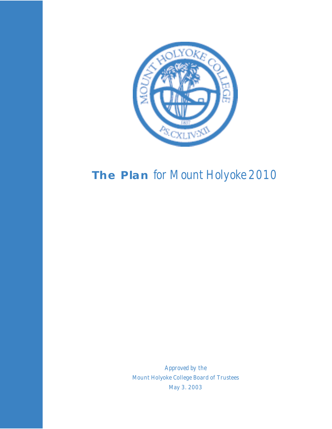

## **The Plan** *for Mount Holyoke 2010*

*Approved by the*  Mount Holyoke College Board of Trustees May 3. 2003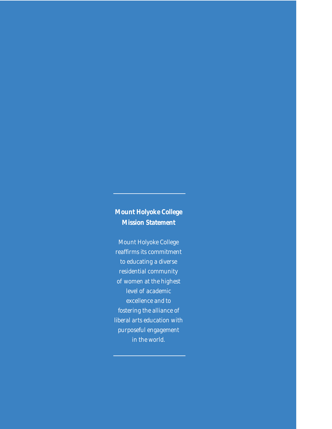## **Mount Holyoke College Mission Statement**

Mount Holyoke College reaffirms its commitment to educating a diverse residential community of women at the highest level of academic excellence and to fostering the alliance of liberal arts education with purposeful engagement in the world.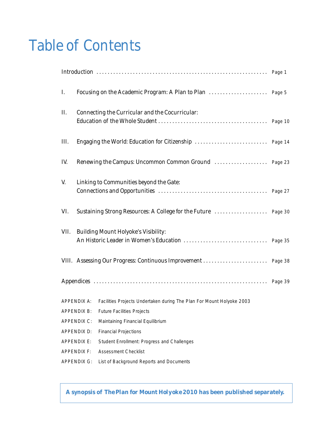## Table of Contents

| I.   |                                                 |                                                                                   |  |  |  |  |  |
|------|-------------------------------------------------|-----------------------------------------------------------------------------------|--|--|--|--|--|
| П.   | Connecting the Curricular and the Cocurricular: |                                                                                   |  |  |  |  |  |
| III. |                                                 |                                                                                   |  |  |  |  |  |
| IV.  |                                                 |                                                                                   |  |  |  |  |  |
| V.   | Linking to Communities beyond the Gate:         |                                                                                   |  |  |  |  |  |
| VI.  |                                                 |                                                                                   |  |  |  |  |  |
| VII. | <b>Building Mount Holyoke's Visibility:</b>     |                                                                                   |  |  |  |  |  |
|      |                                                 |                                                                                   |  |  |  |  |  |
|      |                                                 |                                                                                   |  |  |  |  |  |
|      |                                                 | APPENDIX A: Facilities Projects Undertaken during The Plan For Mount Holyoke 2003 |  |  |  |  |  |
|      |                                                 | APPENDIX B: Future Facilities Projects                                            |  |  |  |  |  |
|      | <b>APPENDIX C:</b>                              | Maintaining Financial Equilibrium                                                 |  |  |  |  |  |
|      | APPENDIX D:                                     | <b>Financial Projections</b>                                                      |  |  |  |  |  |
|      | <b>APPENDIX E:</b>                              | Student Enrollment: Progress and Challenges                                       |  |  |  |  |  |
|      | <b>APPENDIX F:</b>                              | <b>Assessment Checklist</b>                                                       |  |  |  |  |  |
|      | <b>APPENDIX G:</b>                              | List of Background Reports and Documents                                          |  |  |  |  |  |

**A synopsis of** *The Plan for Mount Holyoke 2010* **has been published separately.**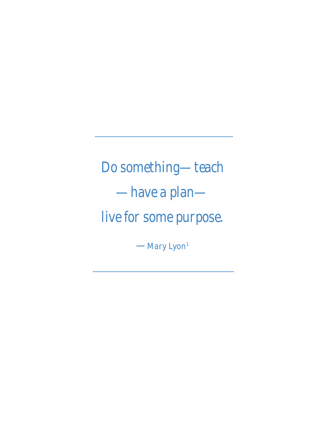*Do something—teach —have a plan live for some purpose.* 

—Mary Lyon<sup>1</sup>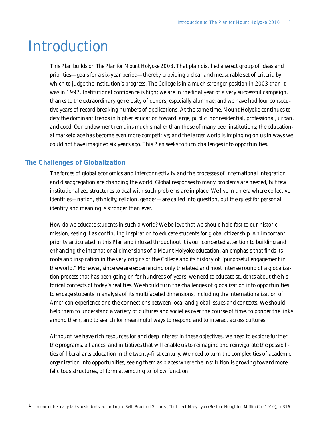## Introduction

This *Plan* builds on *The Plan for Mount Holyoke 2003*. That plan distilled a select group of ideas and priorities—goals for a six-year period—thereby providing a clear and measurable set of criteria by which to judge the institution's progress. The College is in a much stronger position in 2003 than it was in 1997. Institutional confidence is high; we are in the final year of a very successful campaign, thanks to the extraordinary generosity of donors, especially alumnae; and we have had four consecutive years of record-breaking numbers of applications. At the same time, Mount Holyoke continues to defy the dominant trends in higher education toward large, public, nonresidential, professional, urban, and coed. Our endowment remains much smaller than those of many peer institutions; the educational marketplace has become even more competitive; and the larger world is impinging on us in ways we could not have imagined six years ago. This *Plan* seeks to turn challenges into opportunities.

## **The Challenges of Globalization**

The forces of global economics and interconnectivity and the processes of international integration and disaggregation are changing the world. Global responses to many problems are needed, but few institutionalized structures to deal with such problems are in place. We live in an era where collective identities—nation, ethnicity, religion, gender—are called into question, but the quest for personal identity and meaning is stronger than ever.

How do we educate students in such a world? We believe that we should hold fast to our historic mission, seeing it as continuing inspiration to educate students for global citizenship. An important priority articulated in this *Plan* and infused throughout it is our concerted attention to building and enhancing the international dimensions of a Mount Holyoke education, an emphasis that finds its roots and inspiration in the very origins of the College and its history of "purposeful engagement in the world." Moreover, since we are experiencing only the latest and most intense round of a globalization process that has been going on for hundreds of years, we need to educate students about the historical contexts of today's realities. We should turn the challenges of globalization into opportunities to engage students in analysis of its multifaceted dimensions, including the internationalization of American experience and the connections between local and global issues and contexts. We should help them to understand a variety of cultures and societies over the course of time, to ponder the links among them, and to search for meaningful ways to respond and to interact across cultures.

Although we have rich resources for and deep interest in these objectives, we need to explore further the programs, alliances, and initiatives that will enable us to reimagine and reinvigorate the possibilities of liberal arts education in the twenty-first century. We need to turn the complexities of academic organization into opportunities, seeing them as places where the institution is growing toward more felicitous structures, of form attempting to follow function.

<sup>1</sup> In one of her daily talks to students, according to Beth Bradford Gilchrist, *The Life of Mary Lyon* (Boston: Houghton Mifflin Co.: 1910), p. 316.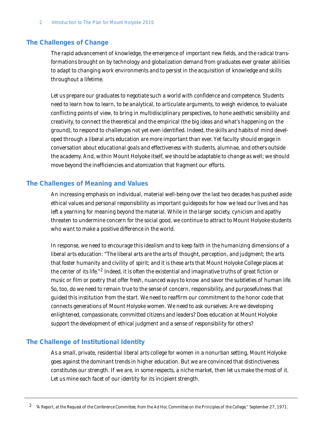## **The Challenges of Change**

The rapid advancement of knowledge, the emergence of important new fields, and the radical transformations brought on by technology and globalization demand from graduates ever greater abilities to adapt to changing work environments and to persist in the acquisition of knowledge and skills throughout a lifetime.

Let us prepare our graduates to negotiate such a world with confidence and competence. Students need to learn how to learn, to be analytical, to articulate arguments, to weigh evidence, to evaluate conflicting points of view, to bring in multidisciplinary perspectives, to hone aesthetic sensibility and creativity, to connect the theoretical and the empirical (the big ideas and what's happening on the ground), to respond to challenges not yet even identified. Indeed, the skills and habits of mind developed through a liberal arts education are more important than ever. Yet faculty should engage in conversation about educational goals and effectiveness with students, alumnae, and others outside the academy. And, within Mount Holyoke itself, we should be adaptable to change as well; we should move beyond the inefficiencies and atomization that fragment our efforts.

### **The Challenges of Meaning and Values**

An increasing emphasis on individual, material well-being over the last two decades has pushed aside ethical values and personal responsibility as important guideposts for how we lead our lives and has left a yearning for meaning beyond the material. While in the larger society, cynicism and apathy threaten to undermine concern for the social good, we continue to attract to Mount Holyoke students who want to make a positive difference in the world.

In response, we need to encourage this idealism and to keep faith in the humanizing dimensions of a liberal arts education: "The liberal arts are the arts of thought, perception, and judgment; the arts that foster humanity and civility of spirit; and it is these arts that Mount Holyoke College places at the center of its life."2 Indeed, it is often the existential and imaginative truths of great fiction or music or film or poetry that offer fresh, nuanced ways to know and savor the subtleties of human life. So, too, do we need to remain true to the sense of concern, responsibility, and purposefulness that guided this institution from the start. We need to reaffirm our commitment to the honor code that connects generations of Mount Holyoke women. We need to ask ourselves: Are we developing enlightened, compassionate, committed citizens and leaders? Does education at Mount Holyoke support the development of ethical judgment and a sense of responsibility for others?

## **The Challenge of Institutional Identity**

As a small, private, residential liberal arts college for women in a nonurban setting, Mount Holyoke goes against the dominant trends in higher education. But we are convinced that distinctiveness constitutes our strength. If we are, in some respects, a niche market, then let us make the most of it. Let us mine each facet of our identity for its incipient strength.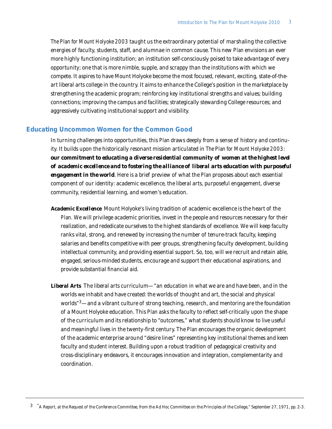*The Plan for Mount Holyoke 2003* taught us the extraordinary potential of marshaling the collective energies of faculty, students, staff, and alumnae in common cause. This new *Plan* envisions an ever more highly functioning institution; an institution self-consciously poised to take advantage of every opportunity; one that is more nimble, supple, and scrappy than the institutions with which we compete. It aspires to have Mount Holyoke become the most focused, relevant, exciting, state-of-theart liberal arts college in the country. It aims to enhance the College's position in the marketplace by strengthening the academic program; reinforcing key institutional strengths and values; building connections; improving the campus and facilities; strategically stewarding College resources; and aggressively cultivating institutional support and visibility.

### **Educating Uncommon Women for the Common Good**

In turning challenges into opportunities, this *Plan* draws deeply from a sense of history and continuity. It builds upon the historically resonant mission articulated in *The Plan for Mount Holyoke 2003*: *our commitment to educating a diverse residential community of women at the highest level of academic excellence and to fostering the alliance of liberal arts education with purposeful engagement in the world*. Here is a brief preview of what the *Plan* proposes about each essential component of our identity: academic excellence, the liberal arts, purposeful engagement, diverse community, residential learning, and women's education.

- *Academic Excellence* Mount Holyoke's living tradition of academic excellence is the heart of the *Plan*. We will privilege academic priorities, invest in the people and resources necessary for their realization, and rededicate ourselves to the highest standards of excellence. We will keep faculty ranks vital, strong, and renewed by increasing the number of tenure-track faculty, keeping salaries and benefits competitive with peer groups, strengthening faculty development, building intellectual community, and providing essential support. So, too, will we recruit and retain able, engaged, serious-minded students, encourage and support their educational aspirations, and provide substantial financial aid.
- *Liberal Arts* The liberal arts curriculum—"an education in what we are and have been, and in the worlds we inhabit and have created: the worlds of thought and art, the social and physical worlds"<sup>3</sup>—and a vibrant culture of strong teaching, research, and mentoring are the foundation of a Mount Holyoke education. This *Plan* asks the faculty to reflect self-critically upon the shape of the curriculum and its relationship to "outcomes," what students should know to live useful and meaningful lives in the twenty-first century. The *Plan* encourages the organic development of the academic enterprise around "desire lines" representing key institutional themes and keen faculty and student interest. Building upon a robust tradition of pedagogical creativity and cross-disciplinary endeavors, it encourages innovation and integration, complementarity and coordination.

3 "A Report, at the Request of the Conference Committee, from the Ad Hoc Committee on the Principles of the College," September 27, 1971, pp. 2-3.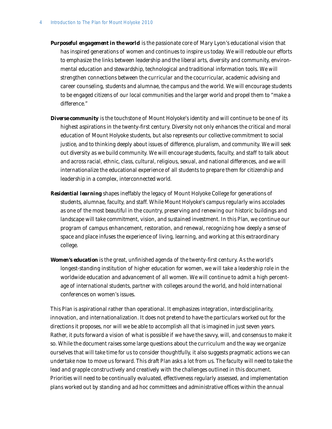- *Purposeful engagement in the world* is the passionate core of Mary Lyon's educational vision that has inspired generations of women and continues to inspire us today. We will redouble our efforts to emphasize the links between leadership and the liberal arts, diversity and community, environmental education and stewardship, technological and traditional information tools. We will strengthen connections between the curricular and the cocurricular, academic advising and career counseling, students and alumnae, the campus and the world. We will encourage students to be engaged citizens of our local communities and the larger world and propel them to "make a difference."
- **Diverse community** is the touchstone of Mount Holyoke's identity and will continue to be one of its highest aspirations in the twenty-first century. Diversity not only enhances the critical and moral education of Mount Holyoke students, but also represents our collective commitment to social justice, and to thinking deeply about issues of difference, pluralism, and community. We will seek out diversity as we build community. We will encourage students, faculty, and staff to talk about and across racial, ethnic, class, cultural, religious, sexual, and national differences, and we will internationalize the educational experience of all students to prepare them for citizenship and leadership in a complex, interconnected world.
- *Residential learning* shapes ineffably the legacy of Mount Holyoke College for generations of students, alumnae, faculty, and staff. While Mount Holyoke's campus regularly wins accolades as one of the most beautiful in the country, preserving and renewing our historic buildings and landscape will take commitment, vision, and sustained investment. In this *Plan*, we continue our program of campus enhancement, restoration, and renewal, recognizing how deeply a sense of space and place infuses the experience of living, learning, and working at this extraordinary college.
- *Women's education* is the great, unfinished agenda of the twenty-first century. As the world's longest-standing institution of higher education for women, we will take a leadership role in the worldwide education and advancement of all women. We will continue to admit a high percentage of international students, partner with colleges around the world, and hold international conferences on women's issues.

This *Plan* is aspirational rather than operational. It emphasizes integration, interdisciplinarity, innovation, and internationalization. It does not pretend to have the particulars worked out for the directions it proposes, nor will we be able to accomplish all that is imagined in just seven years. Rather, it puts forward a vision of what is possible if we have the savvy, will, and consensus to make it so. While the document raises some large questions about the curriculum and the way we organize ourselves that will take time for us to consider thoughtfully, it also suggests pragmatic actions we can undertake now to move us forward. This draft *Plan* asks a lot from us. The faculty will need to take the lead and grapple constructively and creatively with the challenges outlined in this document. Priorities will need to be continually evaluated, effectiveness regularly assessed, and implementation plans worked out by standing and ad hoc committees and administrative offices within the annual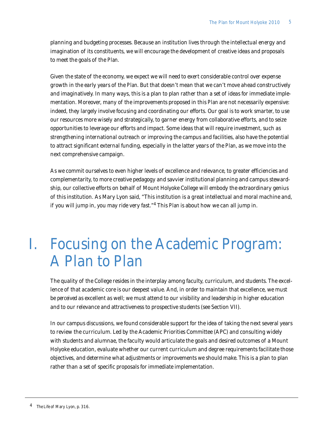planning and budgeting processes. Because an institution lives through the intellectual energy and imagination of its constituents, we will encourage the development of creative ideas and proposals to meet the goals of the *Plan*.

Given the state of the economy, we expect we will need to exert considerable control over expense growth in the early years of the *Plan*. But that doesn't mean that we can't move ahead constructively and imaginatively. In many ways, this is a plan to plan rather than a set of ideas for immediate implementation. Moreover, many of the improvements proposed in this *Plan* are not necessarily expensive: indeed, they largely involve focusing and coordinating our efforts. Our goal is to work smarter, to use our resources more wisely and strategically, to garner energy from collaborative efforts, and to seize opportunities to leverage our efforts and impact. Some ideas that will require investment, such as strengthening international outreach or improving the campus and facilities, also have the potential to attract significant external funding, especially in the latter years of the *Plan*, as we move into the next comprehensive campaign.

As we commit ourselves to even higher levels of excellence and relevance, to greater efficiencies and complementarity, to more creative pedagogy and savvier institutional planning and campus stewardship, our collective efforts on behalf of Mount Holyoke College will embody the extraordinary genius of this institution. As Mary Lyon said, "This institution is a great intellectual and moral machine and, if you will jump in, you may ride very fast."<sup>4</sup> This *Plan* is about how we can all jump in.

# I. Focusing on the Academic Program: A Plan to Plan

The quality of the College resides in the interplay among faculty, curriculum, and students. The excellence of that academic core is our deepest value. And, in order to maintain that excellence, we must be *perceived* as excellent as well; we must attend to our visibility and leadership in higher education and to our relevance and attractiveness to prospective students (see Section VII).

In our campus discussions, we found considerable support for the idea of taking the next several years to review the curriculum. Led by the Academic Priorities Committee (APC) and consulting widely with students and alumnae, the faculty would articulate the goals and desired outcomes of a Mount Holyoke education, evaluate whether our current curriculum and degree requirements facilitate those objectives, and determine what adjustments or improvements we should make. This is a plan to plan rather than a set of specific proposals for immediate implementation.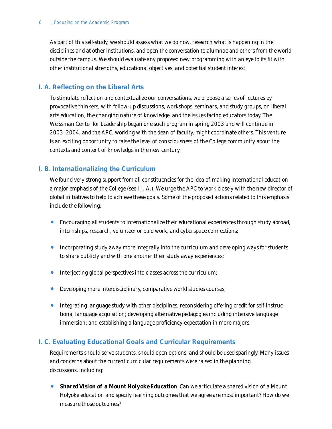As part of this self-study, we should assess what we do now, research what is happening in the disciplines and at other institutions, and open the conversation to alumnae and others from the world outside the campus. We should evaluate any proposed new programming with an eye to its fit with other institutional strengths, educational objectives, and potential student interest.

## **I. A. Reflecting on the Liberal Arts**

To stimulate reflection and contextualize our conversations, we propose a series of lectures by provocative thinkers, with follow-up discussions, workshops, seminars, and study groups, on liberal arts education, the changing nature of knowledge, and the issues facing educators today. The Weissman Center for Leadership began one such program in spring 2003 and will continue in 2003–2004, and the APC, working with the dean of faculty, might coordinate others. This venture is an exciting opportunity to raise the level of consciousness of the College community about the contexts and content of knowledge in the new century.

## **I. B. Internationalizing the Curriculum**

We found very strong support from all constituencies for the idea of making international education a major emphasis of the College (see III. A.). We urge the APC to work closely with the new director of global initiatives to help to achieve these goals. Some of the proposed actions related to this emphasis include the following:

- Encouraging all students to internationalize their educational experiences through study abroad, internships, research, volunteer or paid work, and cyberspace connections;
- Incorporating study away more integrally into the curriculum and developing ways for students to share publicly and with one another their study away experiences;
- Interjecting global perspectives into classes across the curriculum;
- Developing more interdisciplinary, comparative world studies courses;
- Integrating language study with other disciplines; reconsidering offering credit for self-instructional language acquisition; developing alternative pedagogies including intensive language immersion; and establishing a language proficiency expectation in more majors.

## **I. C. Evaluating Educational Goals and Curricular Requirements**

Requirements should serve students, should open options, and should be used sparingly. Many issues and concerns about the current curricular requirements were raised in the planning discussions, including:

• *Shared Vision of a Mount Holyoke Education* Can we articulate a shared vision of a Mount Holyoke education and specify learning outcomes that we agree are most important? How do we measure those outcomes?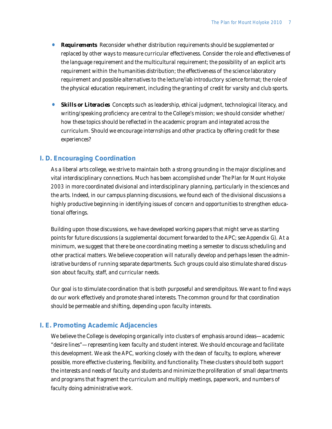- *Requirements* Reconsider whether distribution requirements should be supplemented or replaced by other ways to measure curricular effectiveness. Consider the role and effectiveness of the language requirement and the multicultural requirement; the possibility of an explicit arts requirement within the humanities distribution; the effectiveness of the science laboratory requirement and possible alternatives to the lecture/lab introductory science format; the role of the physical education requirement, including the granting of credit for varsity and club sports.
- **Skills or Literacies** Concepts such as leadership, ethical judgment, technological literacy, and writing/speaking proficiency are central to the College's mission; we should consider whether/ how these topics should be reflected in the academic program and integrated across the curriculum. Should we encourage internships and other practica by offering credit for these experiences?

### **I. D. Encouraging Coordination**

As a liberal arts college, we strive to maintain both a strong grounding in the major disciplines and vital interdisciplinary connections. Much has been accomplished under *The Plan for Mount Holyoke 2003* in more coordinated divisional and interdisciplinary planning, particularly in the sciences and the arts. Indeed, in our campus planning discussions, we found each of the divisional discussions a highly productive beginning in identifying issues of concern and opportunities to strengthen educational offerings.

Building upon those discussions, we have developed working papers that might serve as starting points for future discussions (a supplemental document forwarded to the APC; see Appendix G). At a minimum, we suggest that there be one coordinating meeting a semester to discuss scheduling and other practical matters. We believe cooperation will naturally develop and perhaps lessen the administrative burdens of running separate departments. Such groups could also stimulate shared discussion about faculty, staff, and curricular needs.

Our goal is to stimulate coordination that is both purposeful and serendipitous. We want to find ways do our work effectively and promote shared interests. The common ground for that coordination should be permeable and shifting, depending upon faculty interests.

### **I. E. Promoting Academic Adjacencies**

We believe the College is developing organically into clusters of emphasis around ideas—academic "desire lines"—representing keen faculty and student interest. We should encourage and facilitate this development. We ask the APC, working closely with the dean of faculty, to explore, wherever possible, more effective clustering, flexibility, and functionality. These clusters should both support the interests and needs of faculty and students and minimize the proliferation of small departments and programs that fragment the curriculum and multiply meetings, paperwork, and numbers of faculty doing administrative work.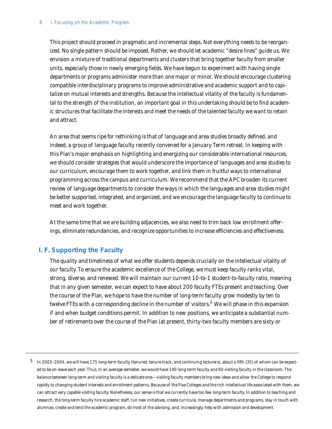This project should proceed in pragmatic and incremental steps. Not everything needs to be reorganized. No single pattern should be imposed. Rather, we should let academic "desire lines" guide us. We envision a mixture of traditional departments and clusters that bring together faculty from smaller units, especially those in newly emerging fields. We have begun to experiment with having single departments or programs administer more than one major or minor. We should encourage clustering compatible interdisciplinary programs to improve administrative and academic support and to capitalize on mutual interests and strengths. Because the intellectual vitality of the faculty is fundamental to the strength of the institution, an important goal in this undertaking should be to find academic structures that facilitate the interests and meet the needs of the talented faculty we want to retain and attract.

An area that seems ripe for rethinking is that of language and area studies broadly defined, and indeed, a group of language faculty recently convened for a January Term retreat. In keeping with this *Plan*'s major emphasis on highlighting and energizing our considerable international resources, we should consider strategies that would underscore the importance of languages and area studies to our curriculum, encourage them to work together, and link them in fruitful ways to international programming across the campus and curriculum. We recommend that the APC broaden its current review of language departments to consider the ways in which the languages and area studies might be better supported, integrated, and organized, and we encourage the language faculty to continue to meet and work together.

At the same time that we are building adjacencies, we also need to trim back low enrollment offerings, eliminate redundancies, and recognize opportunities to increase efficiencies and effectiveness.

## **I. F. Supporting the Faculty**

The quality and timeliness of what we offer students depends crucially on the intellectual vitality of our faculty. To ensure the academic excellence of the College, we must keep faculty ranks vital, strong, diverse, and renewed. We will maintain our current 10-to-1 student-to-faculty ratio, meaning that in any given semester, we can expect to have about 200 faculty FTEs present and teaching. Over the course of the *Plan*, we hope to have the number of long-term faculty grow modestly by ten to twelve FTEs with a corresponding decline in the number of visitors.<sup>5</sup> We will phase in this expansion if and when budget conditions permit. In addition to new positions, we anticipate a substantial number of retirements over the course of the *Plan* (at present, thirty-two faculty members are sixty or

<sup>5</sup> In 2003–2004, we will have 175 long-term faculty (tenured, tenure-track, and continuing lecturers), about a fifth (35) of whom can be expected to be on leave each year. Thus, in an average semester, we would have 140 long-term faculty and 60 visiting faculty in the classroom. The balance between long-term and visiting faculty is a delicate one—visiting faculty members bring new ideas and allow the College to respond rapidly to changing student interests and enrollment patterns. Because of the Five Colleges and the rich intellectual life associated with them, we can attract very capable visiting faculty. Nonetheless, our sense is that we currently have too few long-term faculty. In addition to teaching and research, the long-term faculty hire academic staff, run new initiatives, create curricula, manage departments and programs, stay in touch with alumnae, create and tend the academic program, do most of the advising, and, increasingly, help with admission and development.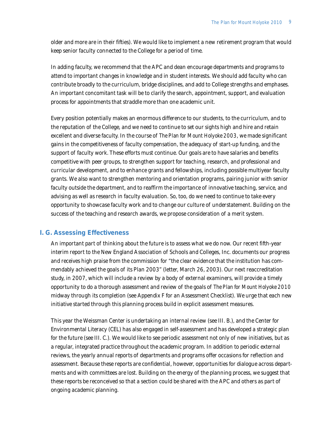older and more are in their fifties). We would like to implement a new retirement program that would keep senior faculty connected to the College for a period of time.

In adding faculty, we recommend that the APC and dean encourage departments and programs to attend to important changes in knowledge and in student interests. We should add faculty who can contribute broadly to the curriculum, bridge disciplines, and add to College strengths and emphases. An important concomitant task will be to clarify the search, appointment, support, and evaluation process for appointments that straddle more than one academic unit.

Every position potentially makes an enormous difference to our students, to the curriculum, and to the reputation of the College, and we need to continue to set our sights high and hire and retain excellent and diverse faculty. In the course of *The Plan for Mount Holyoke 2003*, we made significant gains in the competitiveness of faculty compensation, the adequacy of start-up funding, and the support of faculty work. These efforts must continue. Our goals are to have salaries and benefits competitive with peer groups, to strengthen support for teaching, research, and professional and curricular development, and to enhance grants and fellowships, including possible multiyear faculty grants. We also want to strengthen mentoring and orientation programs, pairing junior with senior faculty outside the department, and to reaffirm the importance of innovative teaching, service, and advising as well as research in faculty evaluation. So, too, do we need to continue to take every opportunity to showcase faculty work and to change our culture of understatement. Building on the success of the teaching and research awards, we propose consideration of a merit system.

## **I. G. Assessing Effectiveness**

An important part of thinking about the future is to assess what we do now. Our recent fifth-year interim report to the New England Association of Schools and Colleges, Inc. documents our progress and receives high praise from the commission for "the clear evidence that the institution has commendably achieved the goals of its Plan 2003" (letter, March 26, 2003). Our next reaccreditation study, in 2007, which will include a review by a body of external examiners, will provide a timely opportunity to do a thorough assessment and review of the goals of *The Plan for Mount Holyoke 2010* midway through its completion (see Appendix F for an Assessment Checklist). We urge that each new initiative started through this planning process build in explicit assessment measures.

This year the Weissman Center is undertaking an internal review (see III. B.), and the Center for Environmental Literacy (CEL) has also engaged in self-assessment and has developed a strategic plan for the future (see III. C.). We would like to see periodic assessment not only of new initiatives, but as a regular, integrated practice throughout the academic program. In addition to periodic external reviews, the yearly annual reports of departments and programs offer occasions for reflection and assessment. Because these reports are confidential, however, opportunities for dialogue across departments and with committees are lost. Building on the energy of the planning process, we suggest that these reports be reconceived so that a section could be shared with the APC and others as part of ongoing academic planning.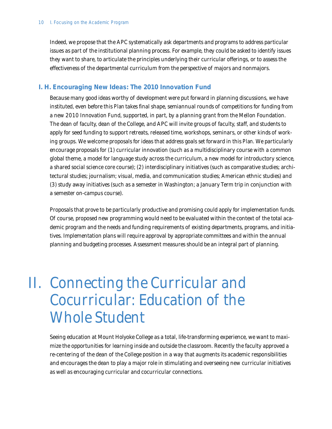Indeed, we propose that the APC systematically ask departments and programs to address particular issues as part of the institutional planning process. For example, they could be asked to identify issues they want to share, to articulate the principles underlying their curricular offerings, or to assess the effectiveness of the departmental curriculum from the perspective of majors and nonmajors.

## **I. H. Encouraging New Ideas: The 2010 Innovation Fund**

Because many good ideas worthy of development were put forward in planning discussions, we have instituted, even before this *Plan* takes final shape, semiannual rounds of competitions for funding from a new 2010 Innovation Fund, supported, in part, by a planning grant from the Mellon Foundation. The dean of faculty, dean of the College, and APC will invite groups of faculty, staff, and students to apply for seed funding to support retreats, released time, workshops, seminars, or other kinds of working groups. We welcome proposals for ideas that address goals set forward in this *Plan*. We particularly encourage proposals for (1) curricular innovation (such as a multidisciplinary course with a common global theme, a model for language study across the curriculum, a new model for introductory science, a shared social science core course); (2) interdisciplinary initiatives (such as comparative studies; architectural studies; journalism; visual, media, and communication studies; American ethnic studies) and (3) study away initiatives (such as a semester in Washington; a January Term trip in conjunction with a semester on-campus course).

Proposals that prove to be particularly productive and promising could apply for implementation funds. Of course, proposed new programming would need to be evaluated within the context of the total academic program and the needs and funding requirements of existing departments, programs, and initiatives. Implementation plans will require approval by appropriate committees and within the annual planning and budgeting processes. Assessment measures should be an integral part of planning.

## II. Connecting the Curricular and Cocurricular: Education of the Whole Student

Seeing education at Mount Holyoke College as a total, life-transforming experience, we want to maximize the opportunities for learning inside and outside the classroom. Recently the faculty approved a re-centering of the dean of the College position in a way that augments its academic responsibilities and encourages the dean to play a major role in stimulating and overseeing new curricular initiatives as well as encouraging curricular and cocurricular connections.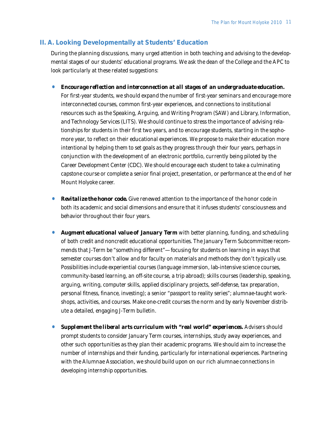## **II. A. Looking Developmentally at Students' Education**

During the planning discussions, many urged attention in both teaching and advising to the developmental stages of our students' educational programs. We ask the dean of the College and the APC to look particularly at these related suggestions:

• *Encourage reflection and interconnection at all stages of an undergraduate education.*

For first-year students, we should expand the number of first-year seminars and encourage more interconnected courses, common first-year experiences, and connections to institutional resources such as the Speaking, Arguing, and Writing Program (SAW) and Library, Information, and Technology Services (LITS). We should continue to stress the importance of advising relationships for students in their first two years, and to encourage students, starting in the sophomore year, to reflect on their educational experiences. We propose to make their education more intentional by helping them to set goals as they progress through their four years, perhaps in conjunction with the development of an electronic portfolio, currently being piloted by the Career Development Center (CDC). We should encourage each student to take a culminating capstone course or complete a senior final project, presentation, or performance at the end of her Mount Holyoke career.

- **Revitalize the honor code.** Give renewed attention to the importance of the honor code in both its academic and social dimensions and ensure that it infuses students' consciousness and behavior throughout their four years.
- *Augment educational value of January Term* with better planning, funding, and scheduling of both credit and noncredit educational opportunities. The January Term Subcommittee recommends that J-Term be "something different"—focusing for students on learning in ways that semester courses don't allow and for faculty on materials and methods they don't typically use. Possibilities include experiential courses (language immersion, lab-intensive science courses, community-based learning, an off-site course, a trip abroad); skills courses (leadership, speaking, arguing, writing, computer skills, applied disciplinary projects, self-defense, tax preparation, personal fitness, finance, investing); a senior "passport to reality series"; alumnae-taught workshops, activities, and courses. Make one-credit courses the norm and by early November distribute a detailed, engaging J-Term bulletin.
- *Supplement the liberal arts curriculum with "real world" experiences.* Advisers should prompt students to consider January Term courses, internships, study away experiences, and other such opportunities as they plan their academic programs. We should aim to increase the number of internships and their funding, particularly for international experiences. Partnering with the Alumnae Association, we should build upon on our rich alumnae connections in developing internship opportunities.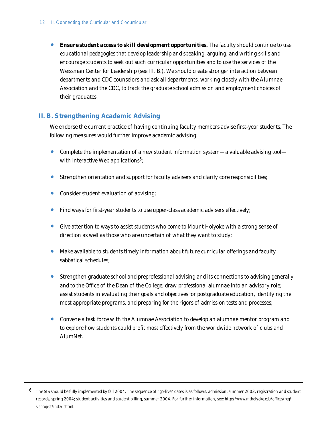**• Ensure student access to skill development opportunities.** The faculty should continue to use educational pedagogies that develop leadership and speaking, arguing, and writing skills and encourage students to seek out such curricular opportunities and to use the services of the Weissman Center for Leadership (see III. B.). We should create stronger interaction between departments and CDC counselors and ask all departments, working closely with the Alumnae Association and the CDC, to track the graduate school admission and employment choices of their graduates.

## **II. B. Strengthening Academic Advising**

We endorse the current practice of having continuing faculty members advise first-year students. The following measures would further improve academic advising:

- Complete the implementation of a new student information system—a valuable advising tool with interactive Web applications<sup>6</sup>;
- Strengthen orientation and support for faculty advisers and clarify core responsibilities;
- Consider student evaluation of advising;
- Find ways for first-year students to use upper-class academic advisers effectively;
- Give attention to ways to assist students who come to Mount Holyoke with a strong sense of direction as well as those who are uncertain of what they want to study;
- Make available to students timely information about future curricular offerings and faculty sabbatical schedules;
- Strengthen graduate school and preprofessional advising and its connections to advising generally and to the Office of the Dean of the College; draw professional alumnae into an advisory role; assist students in evaluating their goals and objectives for postgraduate education, identifying the most appropriate programs, and preparing for the rigors of admission tests and processes;
- Convene a task force with the Alumnae Association to develop an alumnae mentor program and to explore how students could profit most effectively from the worldwide network of clubs and AlumNet.

 $6$  The SIS should be fully implemented by fall 2004. The sequence of "go-live" dates is as follows: admission, summer 2003; registration and student records, spring 2004; student activities and student billing, summer 2004. For further information, see: *http://www.mtholyoke.edu/offices/reg/ sisproject/index.shtml.*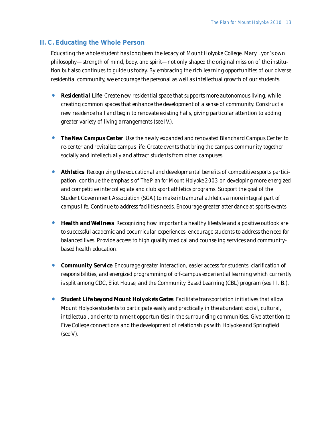## **II. C. Educating the Whole Person**

Educating the whole student has long been the legacy of Mount Holyoke College. Mary Lyon's own philosophy—strength of mind, body, and spirit—not only shaped the original mission of the institution but also continues to guide us today. By embracing the rich learning opportunities of our diverse residential community, we encourage the personal as well as intellectual growth of our students.

- **Residential Life** Create new residential space that supports more autonomous living, while creating common spaces that enhance the development of a sense of community. Construct a new residence hall and begin to renovate existing halls, giving particular attention to adding greater variety of living arrangements (see IV.).
- **The New Campus Center** Use the newly expanded and renovated Blanchard Campus Center to re-center and revitalize campus life. Create events that bring the campus community together socially and intellectually and attract students from other campuses.
- **Athletics** Recognizing the educational and developmental benefits of competitive sports participation, continue the emphasis of *The Plan for Mount Holyoke 2003* on developing more energized and competitive intercollegiate and club sport athletics programs. Support the goal of the Student Government Association (SGA) to make intramural athletics a more integral part of campus life. Continue to address facilities needs. Encourage greater attendance at sports events.
- **Health and Wellness** Recognizing how important a healthy lifestyle and a positive outlook are to successful academic and cocurricular experiences, encourage students to address the need for balanced lives. Provide access to high quality medical and counseling services and communitybased health education.
- **Community Service** Encourage greater interaction, easier access for students, clarification of responsibilities, and energized programming of off-campus experiential learning which currently is split among CDC, Eliot House, and the Community Based Learning (CBL) program (see III. B.).
- **Student Life beyond Mount Holyoke's Gates** Facilitate transportation initiatives that allow Mount Holyoke students to participate easily and practically in the abundant social, cultural, intellectual, and entertainment opportunities in the surrounding communities. Give attention to Five College connections and the development of relationships with Holyoke and Springfield (see V).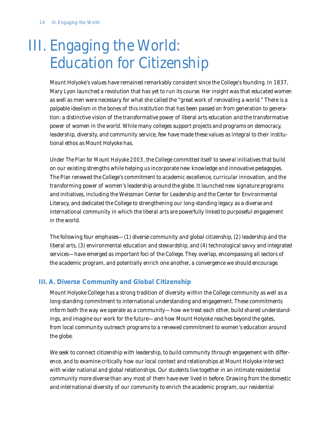## III. Engaging the World: Education for Citizenship

Mount Holyoke's values have remained remarkably consistent since the College's founding. In 1837, Mary Lyon launched a revolution that has yet to run its course. Her insight was that educated women as well as men were necessary for what she called the "great work of renovating a world." There is a palpable idealism in the bones of this institution that has been passed on from generation to generation: a distinctive vision of the transformative power of liberal arts education and the transformative power of women in the world. While many colleges support projects and programs on democracy, leadership, diversity, and community service, few have made these values as integral to their institutional ethos as Mount Holyoke has.

Under *The Plan for Mount Holyoke 2003*, the College committed itself to several initiatives that build on our existing strengths while helping us incorporate new knowledge and innovative pedagogies. The *Plan* renewed the College's commitment to academic excellence, curricular innovation, and the transforming power of women's leadership around the globe. It launched new signature programs and initiatives, including the Weissman Center for Leadership and the Center for Environmental Literacy, and dedicated the College to strengthening our long-standing legacy as a diverse and international community in which the liberal arts are powerfully linked to purposeful engagement in the world.

The following four emphases—(1) diverse community and global citizenship, (2) leadership and the liberal arts, (3) environmental education and stewardship, and (4) technological savvy and integrated services—have emerged as important foci of the College. They overlap, encompassing all sectors of the academic program, and potentially enrich one another, a convergence we should encourage.

## **III. A. Diverse Community and Global Citizenship**

Mount Holyoke College has a strong tradition of diversity within the College community as well as a long-standing commitment to international understanding and engagement. These commitments inform both the way we operate as a community—how we treat each other, build shared understandings, and imagine our work for the future—and how Mount Holyoke reaches beyond the gates, from local community outreach programs to a renewed commitment to women's education around the globe.

We seek to connect citizenship with leadership, to build community through engagement with difference, and to examine critically how our local context and relationships at Mount Holyoke intersect with wider national and global relationships. Our students live together in an intimate residential community more diverse than any most of them have ever lived in before. Drawing from the domestic and international diversity of our community to enrich the academic program, our residential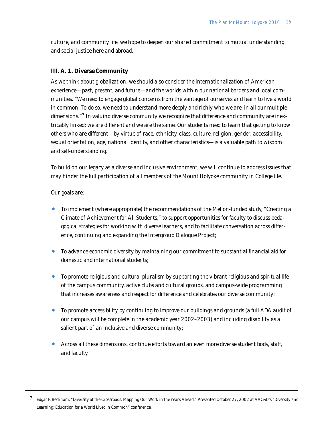culture, and community life, we hope to deepen our shared commitment to mutual understanding and social justice here and abroad.

## *III. A. 1. Diverse Community*

As we think about globalization, we should also consider the internationalization of American experience—past, present, and future—and the worlds within our national borders and local communities. "We need to engage global concerns from the vantage of ourselves and learn to live a world in common. To do so, we need to understand more deeply and richly who we are, in all our multiple dimensions."<sup>7</sup> In valuing diverse community we recognize that difference and community are inextricably linked: we are different and we are the same. Our students need to learn that getting to know others who are different—by virtue of race, ethnicity, class, culture, religion, gender, accessibility, sexual orientation, age, national identity, and other characteristics—is a valuable path to wisdom and self-understanding.

To build on our legacy as a diverse and inclusive environment, we will continue to address issues that may hinder the full participation of all members of the Mount Holyoke community in College life.

Our goals are:

- To implement (where appropriate) the recommendations of the Mellon-funded study, "Creating a Climate of Achievement for All Students," to support opportunities for faculty to discuss pedagogical strategies for working with diverse learners, and to facilitate conversation across difference, continuing and expanding the Intergroup Dialogue Project;
- To advance economic diversity by maintaining our commitment to substantial financial aid for domestic and international students;
- To promote religious and cultural pluralism by supporting the vibrant religious and spiritual life of the campus community, active clubs and cultural groups, and campus-wide programming that increases awareness and respect for difference and celebrates our diverse community;
- To promote accessibility by continuing to improve our buildings and grounds (a full ADA audit of our campus will be complete in the academic year 2002–2003) and including disability as a salient part of an inclusive and diverse community;
- Across all these dimensions, continue efforts toward an even more diverse student body, staff, and faculty.

<sup>7</sup> Edgar F. Beckham, "Diversity at the Crossroads: Mapping Our Work in the Years Ahead." Presented October 27, 2002 at AAC&U's "Diversity and Learning: Education for a World Lived in Common" conference.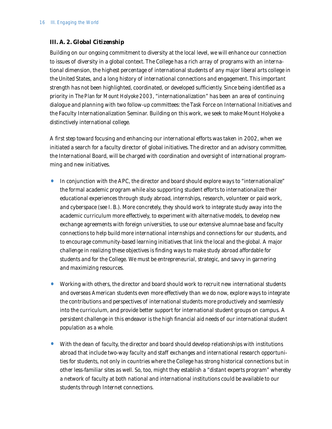## *III. A. 2. Global Citizenship*

Building on our ongoing commitment to diversity at the local level, we will enhance our connection to issues of diversity in a global context. The College has a rich array of programs with an international dimension, the highest percentage of international students of any major liberal arts college in the United States, and a long history of international connections and engagement. This important strength has not been highlighted, coordinated, or developed sufficiently. Since being identified as a priority in *The Plan for Mount Holyoke 2003*, "internationalization" has been an area of continuing dialogue and planning with two follow-up committees: the Task Force on International Initiatives and the Faculty Internationalization Seminar. Building on this work, we seek to make Mount Holyoke a distinctively international college.

A first step toward focusing and enhancing our international efforts was taken in 2002, when we initiated a search for a faculty director of global initiatives. The director and an advisory committee, the International Board, will be charged with coordination and oversight of international programming and new initiatives.

- In conjunction with the APC, the director and board should explore ways to "internationalize" the formal academic program while also supporting student efforts to internationalize their educational experiences through study abroad, internships, research, volunteer or paid work, and cyberspace (see I. B.). More concretely, they should work to integrate study away into the academic curriculum more effectively, to experiment with alternative models, to develop new exchange agreements with foreign universities, to use our extensive alumnae base and faculty connections to help build more international internships and connections for our students, and to encourage community-based learning initiatives that link the local and the global. A major challenge in realizing these objectives is finding ways to make study abroad affordable for students and for the College. We must be entrepreneurial, strategic, and savvy in garnering and maximizing resources.
- Working with others, the director and board should work to recruit new international students and overseas American students even more effectively than we do now, explore ways to integrate the contributions and perspectives of international students more productively and seamlessly into the curriculum, and provide better support for international student groups on campus. A persistent challenge in this endeavor is the high financial aid needs of our international student population as a whole.
- With the dean of faculty, the director and board should develop relationships with institutions abroad that include two-way faculty and staff exchanges and international research opportunities for students, not only in countries where the College has strong historical connections but in other less-familiar sites as well. So, too, might they establish a "distant experts program" whereby a network of faculty at both national and international institutions could be available to our students through Internet connections.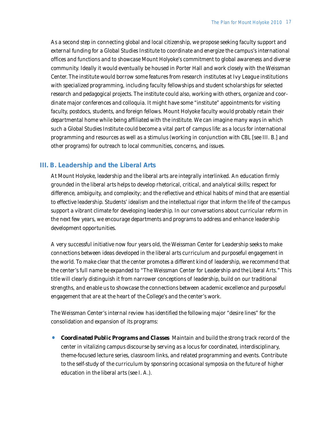As a second step in connecting global and local citizenship, we propose seeking faculty support and external funding for a Global Studies Institute to coordinate and energize the campus's international offices and functions and to showcase Mount Holyoke's commitment to global awareness and diverse community. Ideally it would eventually be housed in Porter Hall and work closely with the Weissman Center. The institute would borrow some features from research institutes at Ivy League institutions with specialized programming, including faculty fellowships and student scholarships for selected research and pedagogical projects. The institute could also, working with others, organize and coordinate major conferences and colloquia. It might have some "institute" appointments for visiting faculty, postdocs, students, and foreign fellows. Mount Holyoke faculty would probably retain their departmental home while being affiliated with the institute. We can imagine many ways in which such a Global Studies Institute could become a vital part of campus life: as a locus for international programming and resources as well as a stimulus (working in conjunction with CBL [see III. B.] and other programs) for outreach to local communities, concerns, and issues.

### **III. B. Leadership and the Liberal Arts**

At Mount Holyoke, leadership and the liberal arts are integrally interlinked. An education firmly grounded in the liberal arts helps to develop rhetorical, critical, and analytical skills; respect for difference, ambiguity, and complexity; and the reflective and ethical habits of mind that are essential to effective leadership. Students' idealism and the intellectual rigor that inform the life of the campus support a vibrant climate for developing leadership. In our conversations about curricular reform in the next few years, we encourage departments and programs to address and enhance leadership development opportunities.

A very successful initiative now four years old, the Weissman Center for Leadership seeks to make connections between ideas developed in the liberal arts curriculum and purposeful engagement in the world. To make clear that the center promotes a different kind of leadership, we recommend that the center's full name be expanded to "The Weissman Center for Leadership *and the Liberal Arts*." This title will clearly distinguish it from narrower conceptions of leadership, build on our traditional strengths, and enable us to showcase the connections between academic excellence and purposeful engagement that are at the heart of the College's and the center's work.

The Weissman Center's internal review has identified the following major "desire lines" for the consolidation and expansion of its programs:

• *Coordinated Public Programs and Classes* Maintain and build the strong track record of the center in vitalizing campus discourse by serving as a locus for coordinated, interdisciplinary, theme-focused lecture series, classroom links, and related programming and events. Contribute to the self-study of the curriculum by sponsoring occasional symposia on the future of higher education in the liberal arts (see I. A.).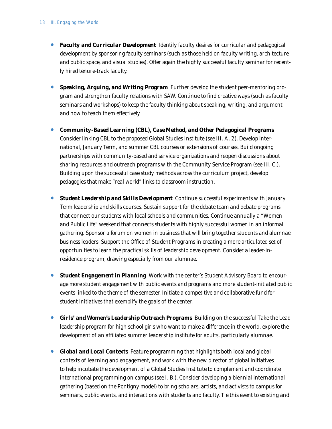- *Faculty and Curricular Development* Identify faculty desires for curricular and pedagogical development by sponsoring faculty seminars (such as those held on faculty writing, architecture and public space, and visual studies). Offer again the highly successful faculty seminar for recently hired tenure-track faculty.
- *Speaking, Arguing, and Writing Program* Further develop the student peer-mentoring program and strengthen faculty relations with SAW. Continue to find creative ways (such as faculty seminars and workshops) to keep the faculty thinking about speaking, writing, and argument and how to teach them effectively.
- *Community-Based Learning (CBL), Case Method, and Other Pedagogical Programs* Consider linking CBL to the proposed Global Studies Institute (see III. A. 2). Develop international, January Term, and summer CBL courses or extensions of courses. Build ongoing partnerships with community-based and service organizations and reopen discussions about sharing resources and outreach programs with the Community Service Program (see III. C.). Building upon the successful case study methods across the curriculum project, develop pedagogies that make "real world" links to classroom instruction.
- **Student Leadership and Skills Development** Continue successful experiments with January Term leadership and skills courses. Sustain support for the debate team and debate programs that connect our students with local schools and communities. Continue annually a "Women and Public Life" weekend that connects students with highly successful women in an informal gathering. Sponsor a forum on women in business that will bring together students and alumnae business leaders. Support the Office of Student Programs in creating a more articulated set of opportunities to learn the practical skills of leadership development. Consider a leader-inresidence program, drawing especially from our alumnae.
- **Student Engagement in Planning** Work with the center's Student Advisory Board to encourage more student engagement with public events and programs and more student-initiated public events linked to the theme of the semester. Initiate a competitive and collaborative fund for student initiatives that exemplify the goals of the center.
- **Girls' and Women's Leadership Outreach Programs** Building on the successful Take the Lead leadership program for high school girls who want to make a difference in the world, explore the development of an affiliated summer leadership institute for adults, particularly alumnae.
- *Global and Local Contexts* Feature programming that highlights both local and global contexts of learning and engagement, and work with the new director of global initiatives to help incubate the development of a Global Studies Institute to complement and coordinate international programming on campus (see I. B.). Consider developing a biennial international gathering (based on the Pontigny model) to bring scholars, artists, and activists to campus for seminars, public events, and interactions with students and faculty. Tie this event to existing and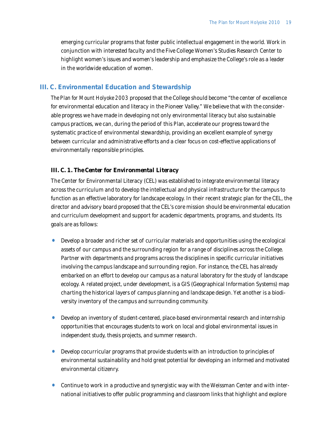emerging curricular programs that foster public intellectual engagement in the world. Work in conjunction with interested faculty and the Five College Women's Studies Research Center to highlight women's issues and women's leadership and emphasize the College's role as a leader in the worldwide education of women.

### **III. C. Environmental Education and Stewardship**

*The Plan for Mount Holyoke 2003* proposed that the College should become "the center of excellence for environmental education and literacy in the Pioneer Valley." We believe that with the considerable progress we have made in developing not only environmental literacy but also sustainable campus practices, we can, during the period of this *Plan*, accelerate our progress toward the systematic practice of environmental stewardship, providing an excellent example of synergy between curricular and administrative efforts and a clear focus on cost-effective applications of environmentally responsible principles.

#### *III. C. 1. The Center for Environmental Literacy*

The Center for Environmental Literacy (CEL) was established to integrate environmental literacy across the curriculum and to develop the intellectual and physical infrastructure for the campus to function as an effective laboratory for landscape ecology. In their recent strategic plan for the CEL, the director and advisory board proposed that the CEL's core mission should be environmental education and curriculum development and support for academic departments, programs, and students. Its goals are as follows:

- Develop a broader and richer set of curricular materials and opportunities using the ecological assets of our campus and the surrounding region for a range of disciplines across the College. Partner with departments and programs across the disciplines in specific curricular initiatives involving the campus landscape and surrounding region. For instance, the CEL has already embarked on an effort to develop our campus as a natural laboratory for the study of landscape ecology. A related project, under development, is a GIS (Geographical Information Systems) map charting the historical layers of campus planning and landscape design. Yet another is a biodiversity inventory of the campus and surrounding community.
- Develop an inventory of student-centered, place-based environmental research and internship opportunities that encourages students to work on local and global environmental issues in independent study, thesis projects, and summer research.
- Develop cocurricular programs that provide students with an introduction to principles of environmental sustainability and hold great potential for developing an informed and motivated environmental citizenry.
- Continue to work in a productive and synergistic way with the Weissman Center and with international initiatives to offer public programming and classroom links that highlight and explore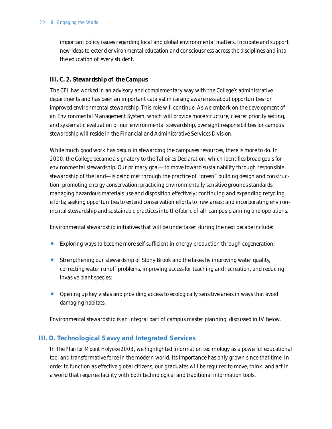important policy issues regarding local and global environmental matters. Incubate and support new ideas to extend environmental education and consciousness across the disciplines and into the education of every student.

### *III. C. 2. Stewardship of the Campus*

The CEL has worked in an advisory and complementary way with the College's administrative departments and has been an important catalyst in raising awareness about opportunities for improved environmental stewardship. This role will continue. As we embark on the development of an Environmental Management System, which will provide more structure, clearer priority setting, and systematic evaluation of our environmental stewardship, oversight responsibilities for campus stewardship will reside in the Financial and Administrative Services Division.

While much good work has begun in stewarding the campuses resources, there is more to do. In 2000, the College became a signatory to the Talloires Declaration, which identifies broad goals for environmental stewardship. Our primary goal—to move toward sustainability through responsible stewardship of the land—is being met through the practice of "green" building design and construction; promoting energy conservation; practicing environmentally sensitive grounds standards; managing hazardous materials use and disposition effectively; continuing and expanding recycling efforts; seeking opportunities to extend conservation efforts to new areas; and incorporating environmental stewardship and sustainable practices into the fabric of all campus planning and operations.

Environmental stewardship initiatives that will be undertaken during the next decade include:

- Exploring ways to become more self-sufficient in energy production through cogeneration;
- Strengthening our stewardship of Stony Brook and the lakes by improving water quality, correcting water runoff problems, improving access for teaching and recreation, and reducing invasive plant species;
- Opening up key vistas and providing access to ecologically sensitive areas in ways that avoid damaging habitats.

Environmental stewardship is an integral part of campus master planning, discussed in IV. below.

## **III. D. Technological Savvy and Integrated Services**

In *The Plan for Mount Holyoke 2003*, we highlighted information technology as a powerful educational tool and transformative force in the modern world. Its importance has only grown since that time. In order to function as effective global citizens, our graduates will be required to move, think, and act in a world that requires facility with both technological and traditional information tools.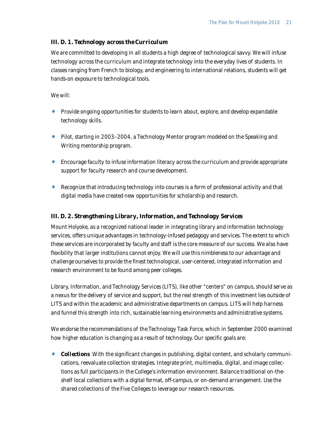## *III. D. 1. Technology across the Curriculum*

We are committed to developing in all students a high degree of technological savvy. We will infuse technology across the curriculum and integrate technology into the everyday lives of students. In classes ranging from French to biology, and engineering to international relations, students will get hands-on exposure to technological tools.

### We will:

- Provide ongoing opportunities for students to learn about, explore, and develop expandable technology skills.
- Pilot, starting in 2003–2004, a Technology Mentor program modeled on the Speaking and Writing mentorship program.
- Encourage faculty to infuse information literacy across the curriculum and provide appropriate support for faculty research and course development.
- Recognize that introducing technology into courses is a form of professional activity and that digital media have created new opportunities for scholarship and research.

## *III. D. 2. Strengthening Library, Information, and Technology Services*

Mount Holyoke, as a recognized national leader in integrating library and information technology services, offers unique advantages in technology-infused pedagogy and services. The extent to which these services are incorporated by faculty and staff is the core measure of our success. We also have flexibility that larger institutions cannot enjoy. We will use this nimbleness to our advantage and challenge ourselves to provide the finest technological, user-centered, integrated information and research environment to be found among peer colleges.

Library, Information, and Technology Services (LITS), like other "centers" on campus, should serve as a nexus for the delivery of service and support, but the real strength of this investment lies outside of LITS and within the academic and administrative departments on campus. LITS will help harness and funnel this strength into rich, sustainable learning environments and administrative systems.

We endorse the recommendations of the Technology Task Force, which in September 2000 examined how higher education is changing as a result of technology. Our specific goals are:

**Collections** With the significant changes in publishing, digital content, and scholarly communications, reevaluate collection strategies. Integrate print, multimedia, digital, and image collections as full participants in the College's information environment. Balance traditional on-theshelf local collections with a digital format, off-campus, or on-demand arrangement. Use the shared collections of the Five Colleges to leverage our research resources.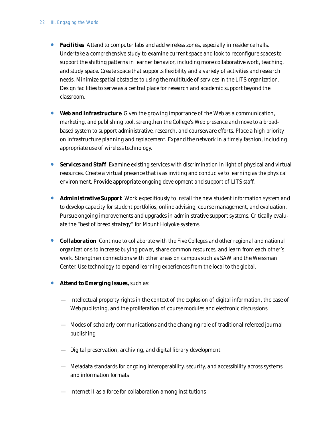- **Facilities** Attend to computer labs and add wireless zones, especially in residence halls. Undertake a comprehensive study to examine current space and look to reconfigure spaces to support the shifting patterns in learner behavior, including more collaborative work, teaching, and study space. Create space that supports flexibility and a variety of activities and research needs. Minimize spatial obstacles to using the multitude of services in the LITS organization. Design facilities to serve as a central place for research and academic support beyond the classroom.
- *Web and Infrastructure* Given the growing importance of the Web as a communication, marketing, and publishing tool, strengthen the College's Web presence and move to a broadbased system to support administrative, research, and courseware efforts. Place a high priority on infrastructure planning and replacement. Expand the network in a timely fashion, including appropriate use of wireless technology.
- *Services and Staff* Examine existing services with discrimination in light of physical and virtual resources. Create a virtual presence that is as inviting and conducive to learning as the physical environment. Provide appropriate ongoing development and support of LITS staff.
- *Administrative Support* Work expeditiously to install the new student information system and to develop capacity for student portfolios, online advising, course management, and evaluation. Pursue ongoing improvements and upgrades in administrative support systems. Critically evaluate the "best of breed strategy" for Mount Holyoke systems.
- **Collaboration** Continue to collaborate with the Five Colleges and other regional and national organizations to increase buying power, share common resources, and learn from each other's work. Strengthen connections with other areas on campus such as SAW and the Weissman Center. Use technology to expand learning experiences from the local to the global.
- *Attend to Emerging Issues,* such as:
	- Intellectual property rights in the context of the explosion of digital information, the ease of Web publishing, and the proliferation of course modules and electronic discussions
	- Modes of scholarly communications and the changing role of traditional refereed journal publishing
	- Digital preservation, archiving, and digital library development
	- Metadata standards for ongoing interoperability, security, and accessibility across systems and information formats
	- Internet II as a force for collaboration among institutions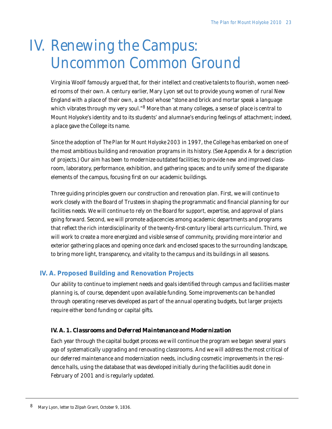# IV. Renewing the Campus: Uncommon Common Ground

Virginia Woolf famously argued that, for their intellect and creative talents to flourish, women needed rooms of their own. A century earlier, Mary Lyon set out to provide young women of rural New England with a place of their own, a school whose "stone and brick and mortar speak a language which vibrates through my very soul."<sup>8</sup> More than at many colleges, a sense of place is central to Mount Holyoke's identity and to its students' and alumnae's enduring feelings of attachment; indeed, a place gave the College its name.

Since the adoption of *The Plan for Mount Holyoke 2003* in 1997, the College has embarked on one of the most ambitious building and renovation programs in its history. (See Appendix A for a description of projects.) Our aim has been to modernize outdated facilities; to provide new and improved classroom, laboratory, performance, exhibition, and gathering spaces; and to unify some of the disparate elements of the campus, focusing first on our academic buildings.

Three guiding principles govern our construction and renovation plan. First, we will continue to work closely with the Board of Trustees in shaping the programmatic and financial planning for our facilities needs. We will continue to rely on the Board for support, expertise, and approval of plans going forward. Second, we will promote adjacencies among academic departments and programs that reflect the rich interdisciplinarity of the twenty-first-century liberal arts curriculum. Third, we will work to create a more energized and visible sense of community, providing more interior and exterior gathering places and opening once dark and enclosed spaces to the surrounding landscape, to bring more light, transparency, and vitality to the campus and its buildings in all seasons.

## **IV. A. Proposed Building and Renovation Projects**

Our ability to continue to implement needs and goals identified through campus and facilities master planning is, of course, dependent upon available funding. Some improvements can be handled through operating reserves developed as part of the annual operating budgets, but larger projects require either bond funding or capital gifts.

## *IV. A. 1. Classrooms and Deferred Maintenance and Modernization*

Each year through the capital budget process we will continue the program we began several years ago of systematically upgrading and renovating classrooms. And we will address the most critical of our deferred maintenance and modernization needs, including cosmetic improvements in the residence halls, using the database that was developed initially during the facilities audit done in February of 2001 and is regularly updated.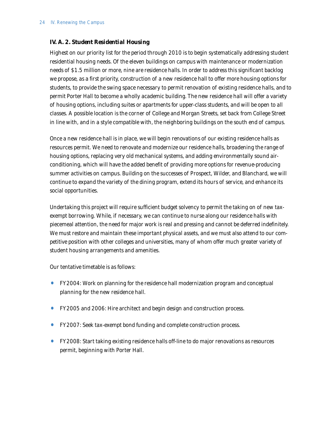### *IV. A. 2. Student Residential Housing*

Highest on our priority list for the period through 2010 is to begin systematically addressing student residential housing needs. Of the eleven buildings on campus with maintenance or modernization needs of \$1.5 million or more, nine are residence halls. In order to address this significant backlog we propose, as a first priority, construction of a new residence hall to offer more housing options for students, to provide the swing space necessary to permit renovation of existing residence halls, and to permit Porter Hall to become a wholly academic building. The new residence hall will offer a variety of housing options, including suites or apartments for upper-class students, and will be open to all classes. A possible location is the corner of College and Morgan Streets, set back from College Street in line with, and in a style compatible with, the neighboring buildings on the south end of campus.

Once a new residence hall is in place, we will begin renovations of our existing residence halls as resources permit. We need to renovate and modernize our residence halls, broadening the range of housing options, replacing very old mechanical systems, and adding environmentally sound airconditioning, which will have the added benefit of providing more options for revenue-producing summer activities on campus. Building on the successes of Prospect, Wilder, and Blanchard, we will continue to expand the variety of the dining program, extend its hours of service, and enhance its social opportunities.

Undertaking this project will require sufficient budget solvency to permit the taking on of new taxexempt borrowing. While, if necessary, we can continue to nurse along our residence halls with piecemeal attention, the need for major work is real and pressing and cannot be deferred indefinitely. We must restore and maintain these important physical assets, and we must also attend to our competitive position with other colleges and universities, many of whom offer much greater variety of student housing arrangements and amenities.

Our tentative timetable is as follows:

- FY2004: Work on planning for the residence hall modernization program and conceptual planning for the new residence hall.
- FY2005 and 2006: Hire architect and begin design and construction process.
- FY2007: Seek tax-exempt bond funding and complete construction process.
- FY2008: Start taking existing residence halls off-line to do major renovations as resources permit, beginning with Porter Hall.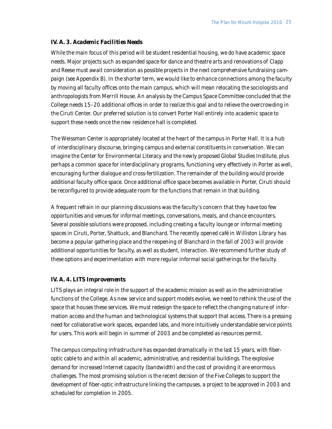#### *IV. A. 3. Academic Facilities Needs*

While the main focus of this period will be student residential housing, we do have academic space needs. Major projects such as expanded space for dance and theatre arts and renovations of Clapp and Reese must await consideration as possible projects in the next comprehensive fundraising campaign (see Appendix B). In the shorter term, we would like to enhance connections among the faculty by moving all faculty offices onto the main campus, which will mean relocating the sociologists and anthropologists from Merrill House. An analysis by the Campus Space Committee concluded that the College needs 15–20 additional offices in order to realize this goal and to relieve the overcrowding in the Ciruti Center. Our preferred solution is to convert Porter Hall entirely into academic space to support these needs once the new residence hall is completed.

The Weissman Center is appropriately located at the heart of the campus in Porter Hall. It is a hub of interdisciplinary discourse, bringing campus and external constituents in conversation. We can imagine the Center for Environmental Literacy and the newly proposed Global Studies Institute, plus perhaps a common space for interdisciplinary programs, functioning very effectively in Porter as well, encouraging further dialogue and cross-fertilization. The remainder of the building would provide additional faculty office space. Once additional office space becomes available in Porter, Ciruti should be reconfigured to provide adequate room for the functions that remain in that building.

A frequent refrain in our planning discussions was the faculty's concern that they have too few opportunities and venues for informal meetings, conversations, meals, and chance encounters. Several possible solutions were proposed, including creating a faculty lounge or informal meeting spaces in Ciruti, Porter, Shattuck, and Blanchard. The recently opened café in Williston Library has become a popular gathering place and the reopening of Blanchard in the fall of 2003 will provide additional opportunities for faculty, as well as student, interaction. We recommend further study of these options and experimentation with more regular informal social gatherings for the faculty.

#### *IV. A. 4. LITS Improvements*

LITS plays an integral role in the support of the academic mission as well as in the administrative functions of the College. As new service and support models evolve, we need to rethink the use of the space that houses these services. We must redesign the space to reflect the changing nature of information access and the human and technological systems that support that access. There is a pressing need for collaborative work spaces, expanded labs, and more intuitively understandable service points for users. This work will begin in summer of 2003 and be completed as resources permit.

The campus computing infrastructure has expanded dramatically in the last 15 years, with fiberoptic cable to and within all academic, administrative, and residential buildings. The explosive demand for increased Internet capacity (bandwidth) and the cost of providing it are enormous challenges. The most promising solution is the recent decision of the Five Colleges to support the development of fiber-optic infrastructure linking the campuses, a project to be approved in 2003 and scheduled for completion in 2005.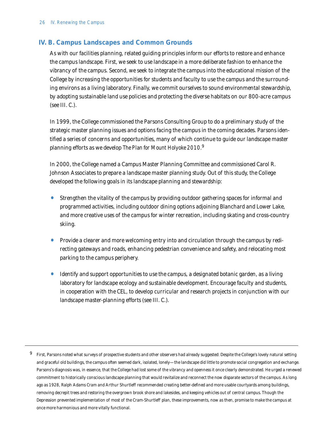## **IV. B. Campus Landscapes and Common Grounds**

As with our facilities planning, related guiding principles inform our efforts to restore and enhance the campus landscape. First, we seek to use landscape in a more deliberate fashion to enhance the vibrancy of the campus. Second, we seek to integrate the campus into the educational mission of the College by increasing the opportunities for students and faculty to use the campus and the surrounding environs as a living laboratory. Finally, we commit ourselves to sound environmental stewardship, by adopting sustainable land use policies and protecting the diverse habitats on our 800-acre campus (see III. C.).

In 1999, the College commissioned the Parsons Consulting Group to do a preliminary study of the strategic master planning issues and options facing the campus in the coming decades. Parsons identified a series of concerns and opportunities, many of which continue to guide our landscape master planning efforts as we develop *The Plan for Mount Holyoke 2010.*<sup>9</sup>

In 2000, the College named a Campus Master Planning Committee and commissioned Carol R. Johnson Associates to prepare a landscape master planning study. Out of this study, the College developed the following goals in its landscape planning and stewardship:

- Strengthen the vitality of the campus by providing outdoor gathering spaces for informal and programmed activities, including outdoor dining options adjoining Blanchard and Lower Lake, and more creative uses of the campus for winter recreation, including skating and cross-country skiing.
- Provide a clearer and more welcoming entry into and circulation through the campus by redirecting gateways and roads, enhancing pedestrian convenience and safety, and relocating most parking to the campus periphery.
- Identify and support opportunities to use the campus, a designated botanic garden, as a living laboratory for landscape ecology and sustainable development. Encourage faculty and students, in cooperation with the CEL, to develop curricular and research projects in conjunction with our landscape master-planning efforts (see III. C.).

<sup>&</sup>lt;sup>9</sup> First, Parsons noted what surveys of prospective students and other observers had already suggested: Despite the College's lovely natural setting and graceful old buildings, the campus often seemed dark, isolated, lonely—the landscape did little to promote social congregation and exchange. Parsons's diagnosis was, in essence, that the College had lost some of the vibrancy and openness it once clearly demonstrated. He urged a renewed commitment to historically conscious landscape planning that would revitalize and reconnect the now disparate sectors of the campus. As long ago as 1928, Ralph Adams Cram and Arthur Shurtleff recommended creating better-defined and more usable courtyards among buildings, removing decrepit trees and restoring the overgrown brook shore and lakesides, and keeping vehicles out of central campus. Though the Depression prevented implementation of most of the Cram-Shurtleff plan, these improvements, now as then, promise to make the campus at once more harmonious and more vitally functional.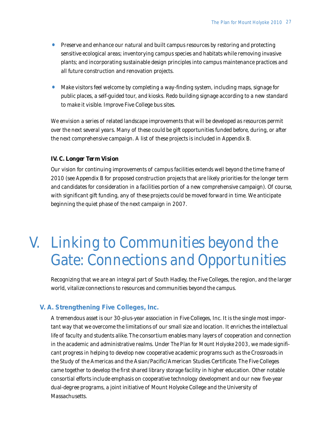- Preserve and enhance our natural and built campus resources by restoring and protecting sensitive ecological areas; inventorying campus species and habitats while removing invasive plants; and incorporating sustainable design principles into campus maintenance practices and all future construction and renovation projects.
- Make visitors feel welcome by completing a way-finding system, including maps, signage for public places, a self-guided tour, and kiosks. Redo building signage according to a new standard to make it visible. Improve Five College bus sites.

We envision a series of related landscape improvements that will be developed as resources permit over the next several years. Many of these could be gift opportunities funded before, during, or after the next comprehensive campaign. A list of these projects is included in Appendix B.

#### *IV. C. Longer Term Vision*

Our vision for continuing improvements of campus facilities extends well beyond the time frame of 2010 (see Appendix B for proposed construction projects that are likely priorities for the longer term and candidates for consideration in a facilities portion of a new comprehensive campaign). Of course, with significant gift funding, any of these projects could be moved forward in time. We anticipate beginning the quiet phase of the next campaign in 2007.

## V. Linking to Communities beyond the Gate: Connections and Opportunities

Recognizing that we are an integral part of South Hadley, the Five Colleges, the region, and the larger world, vitalize connections to resources and communities beyond the campus.

## **V. A. Strengthening Five Colleges, Inc.**

A tremendous asset is our 30-plus-year association in Five Colleges, Inc. It is the single most important way that we overcome the limitations of our small size and location. It enriches the intellectual life of faculty and students alike. The consortium enables many layers of cooperation and connection in the academic and administrative realms. Under *The Plan for Mount Holyoke 2003*, we made significant progress in helping to develop new cooperative academic programs such as the Crossroads in the Study of the Americas and the Asian/Pacific/American Studies Certificate. The Five Colleges came together to develop the first shared library storage facility in higher education. Other notable consortial efforts include emphasis on cooperative technology development and our new five-year dual-degree programs, a joint initiative of Mount Holyoke College and the University of Massachusetts.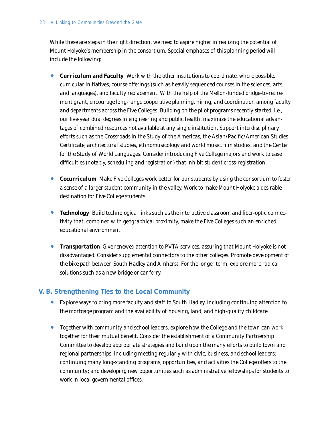While these are steps in the right direction, we need to aspire higher in realizing the potential of Mount Holyoke's membership in the consortium. Special emphases of this planning period will include the following:

- *Curriculum and Faculty* Work with the other institutions to coordinate, where possible, curricular initiatives, course offerings (such as heavily sequenced courses in the sciences, arts, and languages), and faculty replacement. With the help of the Mellon-funded bridge-to-retirement grant, encourage long-range cooperative planning, hiring, and coordination among faculty and departments across the Five Colleges. Building on the pilot programs recently started, i.e., our five-year dual degrees in engineering and public health, maximize the educational advantages of combined resources not available at any single institution. Support interdisciplinary efforts such as the Crossroads in the Study of the Americas, the Asian/Pacific/American Studies Certificate, architectural studies, ethnomusicology and world music, film studies, and the Center for the Study of World Languages. Consider introducing Five College majors and work to ease difficulties (notably, scheduling and registration) that inhibit student cross-registration.
- *Cocurriculum* Make Five Colleges work better for our students by using the consortium to foster a sense of a larger student community in the valley. Work to make Mount Holyoke a desirable destination for Five College students.
- *Technology* Build technological links such as the interactive classroom and fiber-optic connectivity that, combined with geographical proximity, make the Five Colleges such an enriched educational environment.
- *Transportation* Give renewed attention to PVTA services, assuring that Mount Holyoke is not disadvantaged. Consider supplemental connectors to the other colleges. Promote development of the bike path between South Hadley and Amherst. For the longer term, explore more radical solutions such as a new bridge or car ferry.

## **V. B. Strengthening Ties to the Local Community**

- Explore ways to bring more faculty and staff to South Hadley, including continuing attention to the mortgage program and the availability of housing, land, and high-quality childcare.
- Together with community and school leaders, explore how the College and the town can work together for their mutual benefit. Consider the establishment of a Community Partnership Committee to develop appropriate strategies and build upon the many efforts to build town and regional partnerships, including meeting regularly with civic, business, and school leaders; continuing many long-standing programs, opportunities, and activities the College offers to the community; and developing new opportunities such as administrative fellowships for students to work in local governmental offices.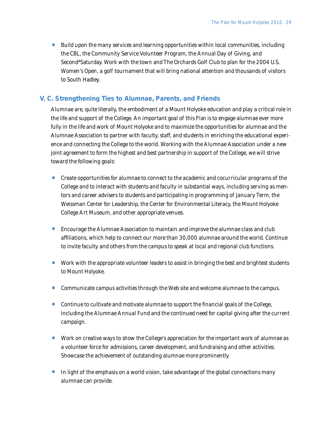• Build upon the many services and learning opportunities within local communities, including the CBL, the Community Service Volunteer Program, the Annual Day of Giving, and Second\*Saturday. Work with the town and The Orchards Golf Club to plan for the 2004 U.S. Women's Open, a golf tournament that will bring national attention and thousands of visitors to South Hadley.

### **V. C. Strengthening Ties to Alumnae, Parents, and Friends**

Alumnae are, quite literally, the embodiment of a Mount Holyoke education and play a critical role in the life and support of the College. An important goal of this *Plan* is to engage alumnae ever more fully in the life and work of Mount Holyoke and to maximize the opportunities for alumnae and the Alumnae Association to partner with faculty, staff, and students in enriching the educational experience and connecting the College to the world. Working with the Alumnae Association under a new joint agreement to form the highest and best partnership in support of the College, we will strive toward the following goals:

- Create opportunities for alumnae to connect to the academic and cocurricular programs of the College and to interact with students and faculty in substantial ways, including serving as mentors and career advisers to students and participating in programming of January Term, the Weissman Center for Leadership, the Center for Environmental Literacy, the Mount Holyoke College Art Museum, and other appropriate venues.
- Encourage the Alumnae Association to maintain and improve the alumnae class and club affiliations, which help to connect our more than 30,000 alumnae around the world. Continue to invite faculty and others from the campus to speak at local and regional club functions.
- Work with the appropriate volunteer leaders to assist in bringing the best and brightest students to Mount Holyoke.
- Communicate campus activities through the Web site and welcome alumnae to the campus.
- Continue to cultivate and motivate alumnae to support the financial goals of the College, including the Alumnae Annual Fund and the continued need for capital giving after the current campaign.
- Work on creative ways to show the College's appreciation for the important work of alumnae as a volunteer force for admissions, career development, and fundraising and other activities. Showcase the achievement of outstanding alumnae more prominently.
- In light of the emphasis on a world vision, take advantage of the global connections many alumnae can provide.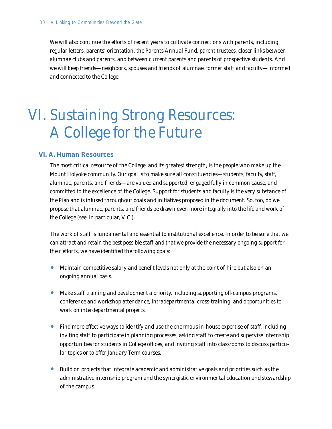We will also continue the efforts of recent years to cultivate connections with parents, including regular letters, parents' orientation, the Parents Annual Fund, parent trustees, closer links between alumnae clubs and parents, and between current parents and parents of prospective students. And we will keep friends—neighbors, spouses and friends of alumnae, former staff and faculty—informed and connected to the College.

# VI. Sustaining Strong Resources: A College for the Future

## **VI. A. Human Resources**

The most critical resource of the College, and its greatest strength, is the people who make up the Mount Holyoke community. Our goal is to make sure all constituencies—students, faculty, staff, alumnae, parents, and friends—are valued and supported, engaged fully in common cause, and committed to the excellence of the College. Support for students and faculty is the very substance of the *Plan* and is infused throughout goals and initiatives proposed in the document. So, too, do we propose that alumnae, parents, and friends be drawn even more integrally into the life and work of the College (see, in particular, V. C.).

The work of staff is fundamental and essential to institutional excellence. In order to be sure that we can attract and retain the best possible staff and that we provide the necessary ongoing support for their efforts, we have identified the following goals:

- Maintain competitive salary and benefit levels not only at the point of hire but also on an ongoing annual basis.
- Make staff training and development a priority, including supporting off-campus programs, conference and workshop attendance, intradepartmental cross-training, and opportunities to work on interdepartmental projects.
- Find more effective ways to identify and use the enormous in-house expertise of staff, including inviting staff to participate in planning processes, asking staff to create and supervise internship opportunities for students in College offices, and inviting staff into classrooms to discuss particular topics or to offer January Term courses.
- Build on projects that integrate academic and administrative goals and priorities such as the administrative internship program and the synergistic environmental education and stewardship of the campus.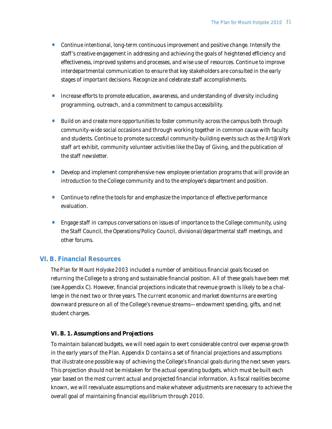- Continue intentional, long-term continuous improvement and positive change. Intensify the staff 's creative engagement in addressing and achieving the goals of heightened efficiency and effectiveness, improved systems and processes, and wise use of resources. Continue to improve interdepartmental communication to ensure that key stakeholders are consulted in the early stages of important decisions. Recognize and celebrate staff accomplishments.
- Increase efforts to promote education, awareness, and understanding of diversity including programming, outreach, and a commitment to campus accessibility.
- Build on and create more opportunities to foster community across the campus both through community-wide social occasions and through working together in common cause with faculty and students. Continue to promote successful community-building events such as the *Art@Work* staff art exhibit, community volunteer activities like the Day of Giving, and the publication of the staff newsletter.
- Develop and implement comprehensive new employee orientation programs that will provide an introduction to the College community and to the employee's department and position.
- Continue to refine the tools for and emphasize the importance of effective performance evaluation.
- Engage staff in campus conversations on issues of importance to the College community, using the Staff Council, the Operations/Policy Council, divisional/departmental staff meetings, and other forums.

## **VI. B. Financial Resources**

*The Plan for Mount Holyoke 2003* included a number of ambitious financial goals focused on returning the College to a strong and sustainable financial position. All of these goals have been met (see Appendix C). However, financial projections indicate that revenue growth is likely to be a challenge in the next two or three years. The current economic and market downturns are exerting downward pressure on all of the College's revenue streams—endowment spending, gifts, and net student charges.

## *VI. B. 1. Assumptions and Projections*

To maintain balanced budgets, we will need again to exert considerable control over expense growth in the early years of the *Plan*. Appendix D contains a set of financial projections and assumptions that illustrate one possible way of achieving the College's financial goals during the next seven years. This projection should not be mistaken for the actual operating budgets, which must be built each year based on the most current actual and projected financial information. As fiscal realities become known, we will reevaluate assumptions and make whatever adjustments are necessary to achieve the overall goal of maintaining financial equilibrium through 2010.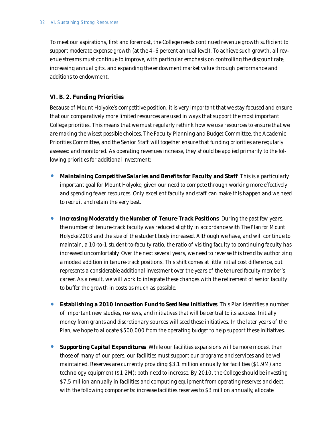To meet our aspirations, first and foremost, the College needs continued revenue growth sufficient to support moderate expense growth (at the 4–6 percent annual level). To achieve such growth, all revenue streams must continue to improve, with particular emphasis on controlling the discount rate, increasing annual gifts, and expanding the endowment market value through performance and additions to endowment.

### *VI. B. 2. Funding Priorities*

Because of Mount Holyoke's competitive position, it is very important that we stay focused and ensure that our comparatively more limited resources are used in ways that support the most important College priorities. This means that we must regularly rethink how we use resources to ensure that we are making the wisest possible choices. The Faculty Planning and Budget Committee, the Academic Priorities Committee, and the Senior Staff will together ensure that funding priorities are regularly assessed and monitored. As operating revenues increase, they should be applied primarily to the following priorities for additional investment:

- **Maintaining Competitive Salaries and Benefits for Faculty and Staff** This is a particularly important goal for Mount Holyoke, given our need to compete through working more effectively and spending fewer resources. Only excellent faculty and staff can make this happen and we need to recruit and retain the very best.
- **Increasing Moderately the Number of Tenure-Track Positions** During the past few years, the number of tenure-track faculty was reduced slightly in accordance with *The Plan for Mount Holyoke 2003* and the size of the student body increased. Although we have, and will continue to maintain, a 10-to-1 student-to-faculty ratio, the ratio of visiting faculty to continuing faculty has increased uncomfortably. Over the next several years, we need to reverse this trend by authorizing a modest addition in tenure-track positions. This shift comes at little initial cost difference, but represents a considerable additional investment over the years of the tenured faculty member's career. As a result, we will work to integrate these changes with the retirement of senior faculty to buffer the growth in costs as much as possible.
- *Establishing a 2010 Innovation Fund to Seed New Initiatives* This *Plan* identifies a number of important new studies, reviews, and initiatives that will be central to its success. Initially money from grants and discretionary sources will seed these initiatives. In the later years of the *Plan*, we hope to allocate \$500,000 from the operating budget to help support these initiatives.
- *Supporting Capital Expenditures* While our facilities expansions will be more modest than those of many of our peers, our facilities must support our programs and services and be well maintained. Reserves are currently providing \$3.1 million annually for facilities (\$1.9M) and technology equipment (\$1.2M): both need to increase. By 2010, the College should be investing \$7.5 million annually in facilities and computing equipment from operating reserves and debt, with the following components: increase facilities reserves to \$3 million annually, allocate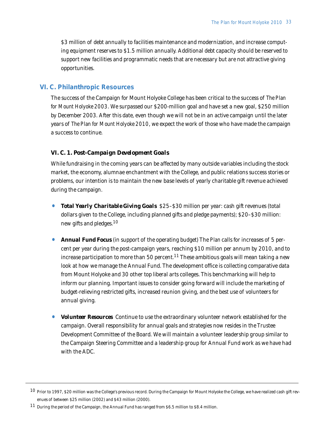\$3 million of debt annually to facilities maintenance and modernization, and increase computing equipment reserves to \$1.5 million annually. Additional debt capacity should be reserved to support new facilities and programmatic needs that are necessary but are not attractive giving opportunities.

### **VI. C. Philanthropic Resources**

The success of the Campaign for Mount Holyoke College has been critical to the success of *The Plan for Mount Holyoke 2003*. We surpassed our \$200-million goal and have set a new goal, \$250 million by December 2003. After this date, even though we will not be in an active campaign until the later years of *The Plan for Mount Holyoke 2010*, we expect the work of those who have made the campaign a success to continue.

#### *VI. C. 1. Post-Campaign Development Goals*

While fundraising in the coming years can be affected by many outside variables including the stock market, the economy, alumnae enchantment with the College, and public relations success stories or problems, our intention is to maintain the new base levels of yearly charitable gift revenue achieved during the campaign.

- *Total Yearly Charitable Giving Goals* \$25–\$30 million per year: cash gift revenues (total dollars given to the College, including planned gifts and pledge payments); \$20–\$30 million: new gifts and pledges.<sup>10</sup>
- *Annual Fund Focus* (in support of the operating budget) The *Plan* calls for increases of 5 percent per year during the post-campaign years, reaching \$10 million per annum by 2010, and to increase participation to more than 50 percent.<sup>11</sup> These ambitious goals will mean taking a new look at how we manage the Annual Fund. The development office is collecting comparative data from Mount Holyoke and 30 other top liberal arts colleges. This benchmarking will help to inform our planning. Important issues to consider going forward will include the marketing of budget-relieving restricted gifts, increased reunion giving, and the best use of volunteers for annual giving.
- *Volunteer Resources* Continue to use the extraordinary volunteer network established for the campaign. Overall responsibility for annual goals and strategies now resides in the Trustee Development Committee of the Board. We will maintain a volunteer leadership group similar to the Campaign Steering Committee and a leadership group for Annual Fund work as we have had with the ADC.

<sup>10</sup> Prior to 1997, \$20 million was the College's previous record. During the Campaign for Mount Holyoke the College, we have realized cash gift revenues of between \$25 million (2002) and \$43 million (2000).

 $11$  During the period of the Campaign, the Annual Fund has ranged from \$6.5 million to \$8.4 million.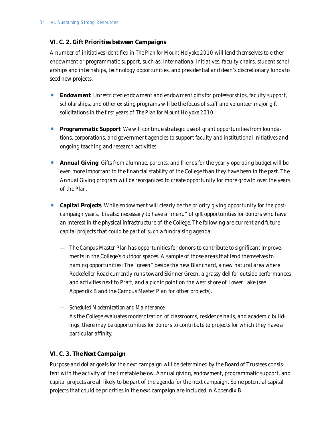## *VI. C. 2. Gift Priorities between Campaigns*

A number of initiatives identified in *The Plan for Mount Holyoke 2010* will lend themselves to either endowment or programmatic support, such as: international initiatives, faculty chairs, student scholarships and internships, technology opportunities, and presidential and dean's discretionary funds to seed new projects.

- **Endowment** Unrestricted endowment and endowment gifts for professorships, faculty support, scholarships, and other existing programs will be the focus of staff and volunteer major gift solicitations in the first years of *The Plan for Mount Holyoke 2010.*
- *Programmatic Support* We will continue strategic use of grant opportunities from foundations, corporations, and government agencies to support faculty and institutional initiatives and ongoing teaching and research activities.
- **Annual Giving** Gifts from alumnae, parents, and friends for the yearly operating budget will be even more important to the financial stability of the College than they have been in the past. The Annual Giving program will be reorganized to create opportunity for more growth over the years of the *Plan*.
- **Capital Projects** While endowment will clearly be the priority giving opportunity for the postcampaign years, it is also necessary to have a "menu" of gift opportunities for donors who have an interest in the physical infrastructure of the College. The following are current and future capital projects that could be part of such a fundraising agenda:
	- The *Campus Master Plan* has opportunities for donors to contribute to significant improvements in the College's outdoor spaces. A sample of those areas that lend themselves to naming opportunities: The "green" beside the new Blanchard, a new natural area where Rockefeller Road currently runs toward Skinner Green, a grassy dell for outside performances and activities next to Pratt, and a picnic point on the west shore of Lower Lake (see Appendix B and the Campus Master Plan for other projects).
	- *Scheduled Modernization and Maintenance*

As the College evaluates modernization of classrooms, residence halls, and academic buildings, there may be opportunities for donors to contribute to projects for which they have a particular affinity.

## *VI. C. 3. The Next Campaign*

Purpose and dollar goals for the next campaign will be determined by the Board of Trustees consistent with the activity of the timetable below. Annual giving, endowment, programmatic support, and capital projects are all likely to be part of the agenda for the next campaign. Some potential capital projects that could be priorities in the next campaign are included in Appendix B.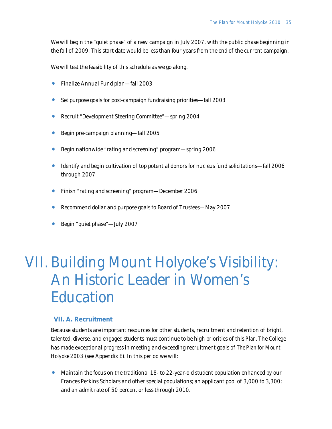We will begin the "quiet phase" of a new campaign in July 2007, with the public phase beginning in the fall of 2009. This start date would be less than four years from the end of the current campaign.

We will test the feasibility of this schedule as we go along.

- Finalize Annual Fund plan—fall 2003
- Set purpose goals for post-campaign fundraising priorities—fall 2003
- Recruit "Development Steering Committee"—spring 2004
- Begin pre-campaign planning—fall 2005
- Begin nationwide "rating and screening" program—spring 2006
- Identify and begin cultivation of top potential donors for nucleus fund solicitations—fall 2006 through 2007
- Finish "rating and screening" program—December 2006
- Recommend dollar and purpose goals to Board of Trustees—May 2007
- Begin "quiet phase"—July 2007

## Building Mount Holyoke's Visibility: VII.An Historic Leader in Women's Education

## **VII. A. Recruitment**

Because students are important resources for other students, recruitment and retention of bright, talented, diverse, and engaged students must continue to be high priorities of this *Plan*. The College has made exceptional progress in meeting and exceeding recruitment goals of *The Plan for Mount Holyoke 2003* (see Appendix E). In this period we will:

• Maintain the focus on the traditional 18- to 22-year-old student population enhanced by our Frances Perkins Scholars and other special populations; an applicant pool of 3,000 to 3,300; and an admit rate of 50 percent or less through 2010.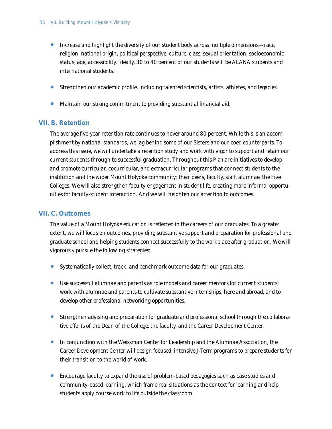- Increase and highlight the diversity of our student body across multiple dimensions—race, religion, national origin, political perspective, culture, class, sexual orientation, socioeconomic status, age, accessibility. Ideally, 30 to 40 percent of our students will be ALANA students and international students.
- Strengthen our academic profile, including talented scientists, artists, athletes, and legacies.
- Maintain our strong commitment to providing substantial financial aid.

## **VII. B. Retention**

The average five-year retention rate continues to hover around 80 percent. While this is an accomplishment by national standards, we lag behind some of our Sisters and our coed counterparts. To address this issue, we will undertake a retention study and work with vigor to support and retain our current students through to successful graduation. Throughout this *Plan* are initiatives to develop and promote curricular, cocurricular, and extracurricular programs that connect students to the institution and the wider Mount Holyoke community: their peers, faculty, staff, alumnae, the Five Colleges. We will also strengthen faculty engagement in student life, creating more informal opportunities for faculty-student interaction. And we will heighten our attention to outcomes.

## **VII. C. Outcomes**

The value of a Mount Holyoke education is reflected in the careers of our graduates. To a greater extent, we will focus on outcomes, providing substantive support and preparation for professional and graduate school and helping students connect successfully to the workplace after graduation. We will vigorously pursue the following strategies:

- Systematically collect, track, and benchmark outcome data for our graduates.
- Use successful alumnae and parents as role models and career mentors for current students; work with alumnae and parents to cultivate substantive internships, here and abroad, and to develop other professional networking opportunities.
- Strengthen advising and preparation for graduate and professional school through the collaborative efforts of the Dean of the College, the faculty, and the Career Development Center.
- In conjunction with the Weissman Center for Leadership and the Alumnae Association, the Career Development Center will design focused, intensive J-Term programs to prepare students for their transition to the world of work.
- Encourage faculty to expand the use of problem-based pedagogies such as case studies and community-based learning, which frame real situations as the context for learning and help students apply course work to life outside the classroom.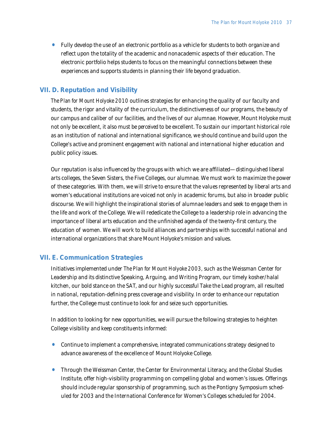• Fully develop the use of an electronic portfolio as a vehicle for students to both organize and reflect upon the totality of the academic and nonacademic aspects of their education. The electronic portfolio helps students to focus on the meaningful connections between these experiences and supports students in planning their life beyond graduation.

### **VII. D. Reputation and Visibility**

*The Plan for Mount Holyoke 2010* outlines strategies for enhancing the quality of our faculty and students, the rigor and vitality of the curriculum, the distinctiveness of our programs, the beauty of our campus and caliber of our facilities, and the lives of our alumnae. However, Mount Holyoke must not only be excellent, it also must be *perceived* to be excellent. To sustain our important historical role as an institution of national and international significance, we should continue and build upon the College's active and prominent engagement with national and international higher education and public policy issues.

Our reputation is also influenced by the groups with which we are affiliated—distinguished liberal arts colleges, the Seven Sisters, the Five Colleges, our alumnae. We must work to maximize the power of these categories. With them, we will strive to ensure that the values represented by liberal arts and women's educational institutions are voiced not only in academic forums, but also in broader public discourse. We will highlight the inspirational stories of alumnae leaders and seek to engage them in the life and work of the College. We will rededicate the College to a leadership role in advancing the importance of liberal arts education and the unfinished agenda of the twenty-first century, the education of women. We will work to build alliances and partnerships with successful national and international organizations that share Mount Holyoke's mission and values.

### **VII. E. Communication Strategies**

Initiatives implemented under *The Plan for Mount Holyoke 2003,* such as the Weissman Center for Leadership and its distinctive Speaking, Arguing, and Writing Program, our timely kosher/halal kitchen, our bold stance on the SAT, and our highly successful Take the Lead program, all resulted in national, reputation-defining press coverage and visibility. In order to enhance our reputation further, the College must continue to look for and seize such opportunities.

In addition to looking for new opportunities, we will pursue the following strategies to heighten College visibility and keep constituents informed:

- Continue to implement a comprehensive, integrated communications strategy designed to advance awareness of the excellence of Mount Holyoke College.
- Through the Weissman Center, the Center for Environmental Literacy, and the Global Studies Institute, offer high-visibility programming on compelling global and women's issues. Offerings should include regular sponsorship of programming, such as the Pontigny Symposium scheduled for 2003 and the International Conference for Women's Colleges scheduled for 2004.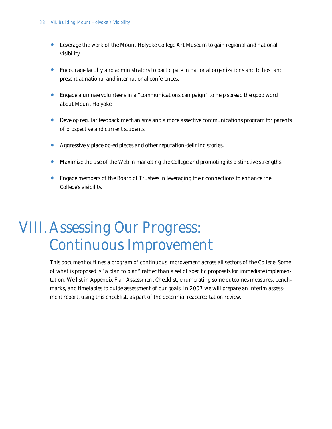- Leverage the work of the Mount Holyoke College Art Museum to gain regional and national visibility.
- Encourage faculty and administrators to participate in national organizations and to host and present at national and international conferences.
- Engage alumnae volunteers in a "communications campaign" to help spread the good word about Mount Holyoke.
- Develop regular feedback mechanisms and a more assertive communications program for parents of prospective and current students.
- Aggressively place op-ed pieces and other reputation-defining stories.
- Maximize the use of the Web in marketing the College and promoting its distinctive strengths.
- Engage members of the Board of Trustees in leveraging their connections to enhance the College's visibility.

## VIII. Assessing Our Progress: Continuous Improvement

This document outlines a program of continuous improvement across all sectors of the College. Some of what is proposed is "a plan to plan" rather than a set of specific proposals for immediate implementation. We list in Appendix F an Assessment Checklist, enumerating some outcomes measures, benchmarks, and timetables to guide assessment of our goals. In 2007 we will prepare an interim assessment report, using this checklist, as part of the decennial reaccreditation review.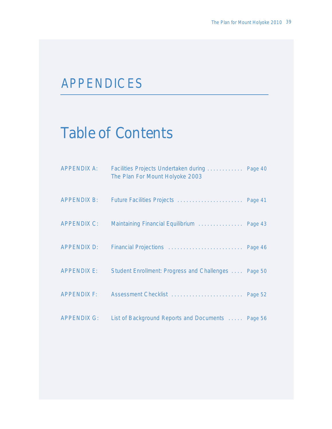## APPENDICES

## Table of Contents

| <b>APPENDIX A:</b> | Facilities Projects Undertaken during  Page 40<br>The Plan For Mount Holyoke 2003 |  |
|--------------------|-----------------------------------------------------------------------------------|--|
|                    |                                                                                   |  |
| APPENDIX C:        | Maintaining Financial Equilibrium  Page 43                                        |  |
| APPENDIX D:        | Financial Projections  Page 46                                                    |  |
| APPENDIX E:        | Student Enrollment: Progress and Challenges  Page 50                              |  |
| APPENDIX F:        |                                                                                   |  |
| APPENDIX G:        | List of Background Reports and Documents  Page 56                                 |  |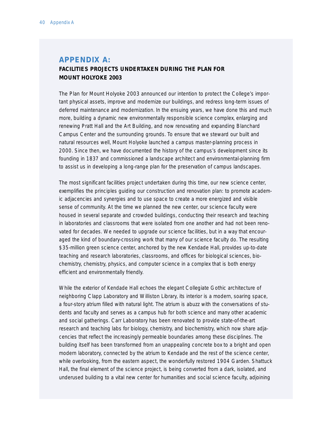## **APPENDIX A: FACILITIES PROJECTS UNDERTAKEN DURING THE PLAN FOR MOUNT HOLYOKE 2003**

*The Plan for Mount Holyoke 2003* announced our intention to protect the College's important physical assets, improve and modernize our buildings, and redress long-term issues of deferred maintenance and modernization. In the ensuing years, we have done this and much more, building a dynamic new environmentally responsible science complex, enlarging and renewing Pratt Hall and the Art Building, and now renovating and expanding Blanchard Campus Center and the surrounding grounds. To ensure that we steward our built and natural resources well, Mount Holyoke launched a campus master-planning process in 2000. Since then, we have documented the history of the campus's development since its founding in 1837 and commissioned a landscape architect and environmental-planning firm to assist us in developing a long-range plan for the preservation of campus landscapes.

The most significant facilities project undertaken during this time, our new science center, exemplifies the principles guiding our construction and renovation plan: to promote academic adjacencies and synergies and to use space to create a more energized and visible sense of community. At the time we planned the new center, our science faculty were housed in several separate and crowded buildings, conducting their research and teaching in laboratories and classrooms that were isolated from one another and had not been renovated for decades. We needed to upgrade our science facilities, but in a way that encouraged the kind of boundary-crossing work that many of our science faculty do. The resulting \$35-million green science center, anchored by the new Kendade Hall, provides up-to-date teaching and research laboratories, classrooms, and offices for biological sciences, biochemistry, chemistry, physics, and computer science in a complex that is both energy efficient and environmentally friendly.

While the exterior of Kendade Hall echoes the elegant Collegiate Gothic architecture of neighboring Clapp Laboratory and Williston Library, its interior is a modern, soaring space, a four-story atrium filled with natural light. The atrium is abuzz with the conversations of students and faculty and serves as a campus hub for both science and many other academic and social gatherings. Carr Laboratory has been renovated to provide state-of-the-art research and teaching labs for biology, chemistry, and biochemistry, which now share adjacencies that reflect the increasingly permeable boundaries among these disciplines. The building itself has been transformed from an unappealing concrete box to a bright and open modern laboratory, connected by the atrium to Kendade and the rest of the science center, while overlooking, from the eastern aspect, the wonderfully restored 1904 Garden. Shattuck Hall, the final element of the science project, is being converted from a dark, isolated, and underused building to a vital new center for humanities and social science faculty, adjoining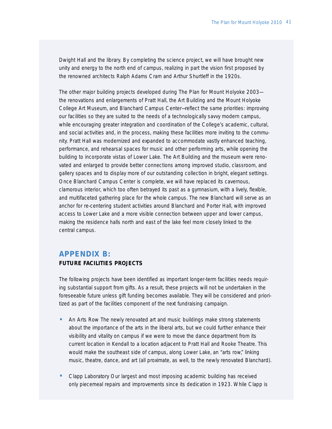Dwight Hall and the library. By completing the science project, we will have brought new unity and energy to the north end of campus, realizing in part the vision first proposed by the renowned architects Ralph Adams Cram and Arthur Shurtleff in the 1920s.

The other major building projects developed during *The Plan for Mount Holyoke 2003* the renovations and enlargements of Pratt Hall, the Art Building and the Mount Holyoke College Art Museum, and Blanchard Campus Center—reflect the same priorities: improving our facilities so they are suited to the needs of a technologically savvy modern campus, while encouraging greater integration and coordination of the College's academic, cultural, and social activities and, in the process, making these facilities more inviting to the community. Pratt Hall was modernized and expanded to accommodate vastly enhanced teaching, performance, and rehearsal spaces for music and other performing arts, while opening the building to incorporate vistas of Lower Lake. The Art Building and the museum were renovated and enlarged to provide better connections among improved studio, classroom, and gallery spaces and to display more of our outstanding collection in bright, elegant settings. Once Blanchard Campus Center is complete, we will have replaced its cavernous, clamorous interior, which too often betrayed its past as a gymnasium, with a lively, flexible, and multifaceted gathering place for the whole campus. The new Blanchard will serve as an anchor for re-centering student activities around Blanchard and Porter Hall, with improved access to Lower Lake and a more visible connection between upper and lower campus, making the residence halls north and east of the lake feel more closely linked to the central campus.

## **APPENDIX B: FUTURE FACILITIES PROJECTS**

The following projects have been identified as important longer-term facilities needs requiring substantial support from gifts. As a result, these projects will not be undertaken in the foreseeable future unless gift funding becomes available. They will be considered and prioritized as part of the facilities component of the next fundraising campaign.

- *An Arts Row* The newly renovated art and music buildings make strong statements about the importance of the arts in the liberal arts, but we could further enhance their visibility and vitality on campus if we were to move the dance department from its current location in Kendall to a location adjacent to Pratt Hall and Rooke Theatre. This would make the southeast side of campus, along Lower Lake, an "arts row," linking music, theatre, dance, and art (all proximate, as well, to the newly renovated Blanchard).
- *Clapp Laboratory* Our largest and most imposing academic building has received only piecemeal repairs and improvements since its dedication in 1923. While Clapp is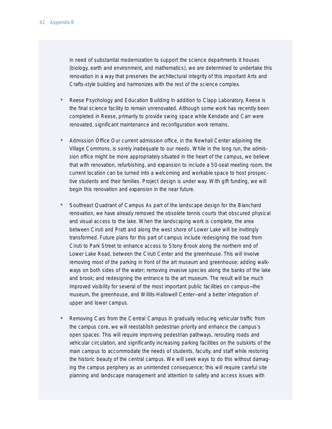in need of substantial modernization to support the science departments it houses (biology, earth and environment, and mathematics), we are determined to undertake this renovation in a way that preserves the architectural integrity of this important Arts and Crafts-style building and harmonizes with the rest of the science complex.

- *Reese Psychology and Education Building* In addition to Clapp Laboratory, Reese is the final science facility to remain unrenovated. Although some work has recently been completed in Reese, primarily to provide swing space while Kendade and Carr were renovated, significant maintenance and reconfiguration work remains.
- *Admission Office* Our current admission office, in the Newhall Center adjoining the Village Commons, is sorely inadequate to our needs. While in the long run, the admission office might be more appropriately situated in the heart of the campus, we believe that with renovation, refurbishing, and expansion to include a 50-seat meeting room, the current location can be turned into a welcoming and workable space to host prospective students and their families. Project design is under way. With gift funding, we will begin this renovation and expansion in the near future.
- *Southeast Quadrant of Campus* As part of the landscape design for the Blanchard renovation, we have already removed the obsolete tennis courts that obscured physical and visual access to the lake. When the landscaping work is complete, the area between Ciruti and Pratt and along the west shore of Lower Lake will be invitingly transformed. Future plans for this part of campus include redesigning the road from Ciruti to Park Street to enhance access to Stony Brook along the northern end of Lower Lake Road, between the Ciruti Center and the greenhouse. This will involve removing most of the parking in front of the art museum and greenhouse; adding walkways on both sides of the water; removing invasive species along the banks of the lake and brook; and redesigning the entrance to the art museum. The result will be much improved visibility for several of the most important public facilities on campus—the museum, the greenhouse, and Willits-Hallowell Center—and a better integration of upper and lower campus.
- *Removing Cars from the Central Campus* In gradually reducing vehicular traffic from the campus core, we will reestablish pedestrian priority and enhance the campus's open spaces. This will require improving pedestrian pathways, rerouting roads and vehicular circulation, and significantly increasing parking facilities on the outskirts of the main campus to accommodate the needs of students, faculty, and staff while restoring the historic beauty of the central campus. We will seek ways to do this without damaging the campus periphery as an unintended consequence; this will require careful site planning and landscape management and attention to safety and access issues with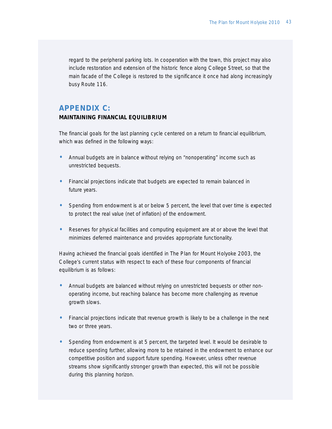regard to the peripheral parking lots. In cooperation with the town, this project may also include restoration and extension of the historic fence along College Street, so that the main facade of the College is restored to the significance it once had along increasingly busy Route 116.

## **APPENDIX C:**

### **MAINTAINING FINANCIAL EQUILIBRIUM**

The financial goals for the last planning cycle centered on a return to financial equilibrium, which was defined in the following ways:

- Annual budgets are in balance without relying on "nonoperating" income such as unrestricted bequests.
- Financial projections indicate that budgets are expected to remain balanced in future years.
- Spending from endowment is at or below 5 percent, the level that over time is expected to protect the real value (net of inflation) of the endowment.
- Reserves for physical facilities and computing equipment are at or above the level that minimizes deferred maintenance and provides appropriate functionality.

Having achieved the financial goals identified in *The Plan for Mount Holyoke 2003*, the College's current status with respect to each of these four components of financial equilibrium is as follows:

- Annual budgets are balanced without relying on unrestricted bequests or other nonoperating income, but reaching balance has become more challenging as revenue growth slows.
- Financial projections indicate that revenue growth is likely to be a challenge in the next two or three years.
- Spending from endowment is at 5 percent, the targeted level. It would be desirable to reduce spending further, allowing more to be retained in the endowment to enhance our competitive position and support future spending. However, unless other revenue streams show significantly stronger growth than expected, this will not be possible during this planning horizon.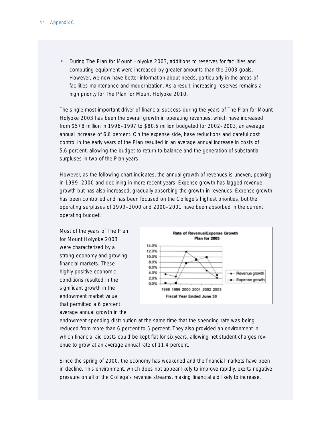• During *The Plan for Mount Holyoke 2003*, additions to reserves for facilities and computing equipment were increased by greater amounts than the 2003 goals. However, we now have better information about needs, particularly in the areas of facilities maintenance and modernization. As a result, increasing reserves remains a high priority for *The Plan for Mount Holyoke 2010.*

The single most important driver of financial success during the years of *The Plan for Mount Holyoke 2003* has been the overall growth in operating revenues, which have increased from \$57.8 million in 1996–1997 to \$80.6 million budgeted for 2002–2003, an average annual increase of 6.6 percent. On the expense side, base reductions and careful cost control in the early years of the *Plan* resulted in an average annual increase in costs of 5.6 percent, allowing the budget to return to balance and the generation of substantial surpluses in two of the *Plan* years.

However, as the following chart indicates, the annual growth of revenues is uneven, peaking in 1999–2000 and declining in more recent years. Expense growth has lagged revenue growth but has also increased, gradually absorbing the growth in revenues. Expense growth has been controlled and has been focused on the College's highest priorities, but the operating surpluses of 1999–2000 and 2000–2001 have been absorbed in the current operating budget.

Most of the years of *The Plan for Mount Holyoke 2003* were characterized by a strong economy and growing financial markets. These highly positive economic conditions resulted in the significant growth in the endowment market value that permitted a 6 percent average annual growth in the



endowment spending distribution at the same time that the spending rate was being reduced from more than 6 percent to 5 percent. They also provided an environment in which financial aid costs could be kept flat for six years, allowing net student charges revenue to grow at an average annual rate of 11.4 percent.

Since the spring of 2000, the economy has weakened and the financial markets have been in decline. This environment, which does not appear likely to improve rapidly, exerts negative pressure on all of the College's revenue streams, making financial aid likely to increase,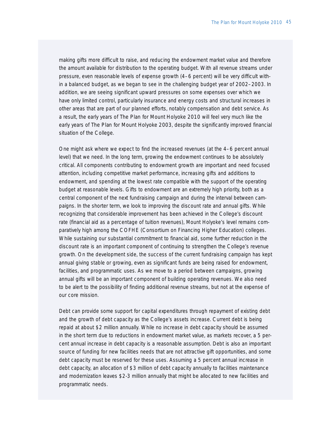making gifts more difficult to raise, and reducing the endowment market value and therefore the amount available for distribution to the operating budget. With all revenue streams under pressure, even reasonable levels of expense growth (4–6 percent) will be very difficult within a balanced budget, as we began to see in the challenging budget year of 2002–2003. In addition, we are seeing significant upward pressures on some expenses over which we have only limited control, particularly insurance and energy costs and structural increases in other areas that are part of our planned efforts, notably compensation and debt service. As a result, the early years of *The Plan for Mount Holyoke 2010* will feel very much like the early years of *The Plan for Mount Holyoke 2003*, despite the significantly improved financial situation of the College.

One might ask where we expect to find the increased revenues (at the 4–6 percent annual level) that we need. In the long term, growing the endowment continues to be absolutely critical. All components contributing to endowment growth are important and need focused attention, including competitive market performance, increasing gifts and additions to endowment, and spending at the lowest rate compatible with the support of the operating budget at reasonable levels. Gifts to endowment are an extremely high priority, both as a central component of the next fundraising campaign and during the interval between campaigns. In the shorter term, we look to improving the discount rate and annual gifts. While recognizing that considerable improvement has been achieved in the College's discount rate (financial aid as a percentage of tuition revenues), Mount Holyoke's level remains comparatively high among the COFHE (Consortium on Financing Higher Education) colleges. While sustaining our substantial commitment to financial aid, some further reduction in the discount rate is an important component of continuing to strengthen the College's revenue growth. On the development side, the success of the current fundraising campaign has kept annual giving stable or growing, even as significant funds are being raised for endowment, facilities, and programmatic uses. As we move to a period between campaigns, growing annual gifts will be an important component of building operating revenues. We also need to be alert to the possibility of finding additional revenue streams, but not at the expense of our core mission.

Debt can provide some support for capital expenditures through repayment of existing debt and the growth of debt capacity as the College's assets increase. Current debt is being repaid at about \$2 million annually. While no increase in debt capacity should be assumed in the short term due to reductions in endowment market value, as markets recover, a 5 percent annual increase in debt capacity is a reasonable assumption. Debt is also an important source of funding for new facilities needs that are not attractive gift opportunities, and some debt capacity must be reserved for these uses. Assuming a 5 percent annual increase in debt capacity, an allocation of \$3 million of debt capacity annually to facilities maintenance and modernization leaves \$2-3 million annually that might be allocated to new facilities and programmatic needs.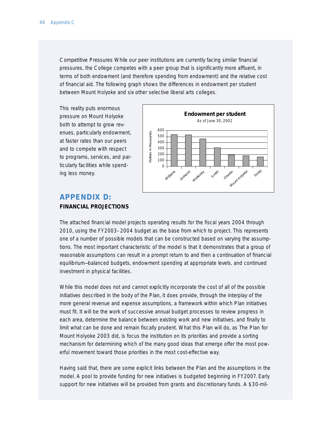*Competitive Pressures* While our peer institutions are currently facing similar financial pressures, the College competes with a peer group that is significantly more affluent, in terms of both endowment (and therefore spending from endowment) and the relative cost of financial aid. The following graph shows the differences in endowment per student between Mount Holyoke and six other selective liberal arts colleges.

This reality puts enormous pressure on Mount Holyoke both to attempt to grow revenues, particularly endowment, at faster rates than our peers and to compete with respect to programs, services, and particularly facilities while spending less money.



## **APPENDIX D: FINANCIAL PROJECTIONS**

The attached financial model projects operating results for the fiscal years 2004 through 2010, using the FY2003–2004 budget as the base from which to project. This represents one of a number of possible models that can be constructed based on varying the assumptions. The most important characteristic of the model is that it demonstrates that a group of reasonable assumptions can result in a prompt return to and then a continuation of financial equilibrium—balanced budgets, endowment spending at appropriate levels, and continued investment in physical facilities.

While this model does not and cannot explicitly incorporate the cost of all of the possible initiatives described in the body of the *Plan*, it does provide, through the interplay of the more general revenue and expense assumptions, a framework within which *Plan* initiatives must fit. It will be the work of successive annual budget processes to review progress in each area, determine the balance between existing work and new initiatives, and finally to limit what can be done and remain fiscally prudent. What this *Plan* will do, as *The Plan for Mount Holyoke 2003* did, is focus the institution on its priorities and provide a sorting mechanism for determining which of the many good ideas that emerge offer the most powerful movement toward those priorities in the most cost-effective way.

Having said that, there are some explicit links between the *Plan* and the assumptions in the model. A pool to provide funding for new initiatives is budgeted beginning in FY2007. Early support for new initiatives will be provided from grants and discretionary funds. A \$30-mil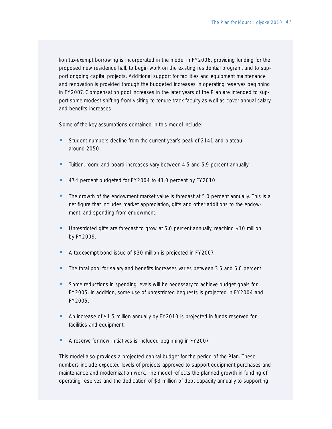lion tax-exempt borrowing is incorporated in the model in FY2006, providing funding for the proposed new residence hall, to begin work on the existing residential program, and to support ongoing capital projects. Additional support for facilities and equipment maintenance and renovation is provided through the budgeted increases in operating reserves beginning in FY2007. Compensation pool increases in the later years of the *Plan* are intended to support some modest shifting from visiting to tenure-track faculty as well as cover annual salary and benefits increases.

Some of the key assumptions contained in this model include:

- Student numbers decline from the current year's peak of 2141 and plateau around 2050.
- Tuition, room, and board increases vary between 4.5 and 5.9 percent annually.
- 47.4 percent budgeted for FY2004 to 41.0 percent by FY2010.
- The growth of the endowment market value is forecast at 5.0 percent annually. This is a net figure that includes market appreciation, gifts and other additions to the endowment, and spending from endowment.
- Unrestricted gifts are forecast to grow at 5.0 percent annually, reaching \$10 million by FY2009.
- A tax-exempt bond issue of \$30 million is projected in FY2007.
- The total pool for salary and benefits increases varies between 3.5 and 5.0 percent.
- Some reductions in spending levels will be necessary to achieve budget goals for FY2005. In addition, some use of unrestricted bequests is projected in FY2004 and FY2005.
- An increase of \$1.5 million annually by FY2010 is projected in funds reserved for facilities and equipment.
- A reserve for new initiatives is included beginning in FY2007.

This model also provides a projected capital budget for the period of the *Plan*. These numbers include expected levels of projects approved to support equipment purchases and maintenance and modernization work. The model reflects the planned growth in funding of operating reserves and the dedication of \$3 million of debt capacity annually to supporting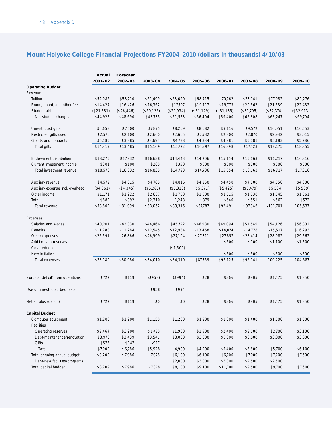|                                   | Actual      | Forecast   |            |            |            |            |            |            |            |
|-----------------------------------|-------------|------------|------------|------------|------------|------------|------------|------------|------------|
|                                   | $2001 - 02$ | 2002-03    | 2003-04    | 2004-05    | 2005-06    | 2006-07    | 2007-08    | 2008-09    | 2009-10    |
| <b>Operating Budget</b>           |             |            |            |            |            |            |            |            |            |
| Revenue                           |             |            |            |            |            |            |            |            |            |
| Tuition                           | \$52,082    | \$58,710   | \$61,499   | \$63,690   | \$68,415   | \$70,762   | \$73,941   | \$77,082   | \$80,276   |
| Room, board, and other fees       | \$14,424    | \$16,426   | \$16,362   | \$17,797   | \$19,117   | \$19,773   | \$20,662   | \$21,539   | \$22,432   |
| Student aid                       | (\$21,581)  | (\$26,446) | (\$29,126) | (\$29,934) | (\$31,129) | (\$31,135) | (\$31,795) | (\$32,374) | (\$32,913) |
| Net student charges               | \$44,925    | \$48,690   | \$48,735   | \$51,553   | \$56,404   | \$59,400   | \$62,808   | \$66,247   | \$69,794   |
| Unrestricted gifts                | \$6,658     | \$7,500    | \$7,875    | \$8,269    | \$8,682    | \$9,116    | \$9,572    | \$10,051   | \$10,553   |
| Restricted gifts used             | \$2,576     | \$2,100    | \$2,600    | \$2,665    | \$2,732    | \$2,800    | \$2,870    | \$2,942    | \$3,015    |
| Grants and contracts              | \$5,185     | \$3,885    | \$4,694    | \$4,788    | \$4,884    | \$4,981    | \$5,081    | \$5,183    | \$5,286    |
| Total gifts                       | \$14,419    | \$13,485   | \$15,169   | \$15,722   | \$16,297   | \$16,898   | \$17,523   | \$18,175   | \$18,855   |
| Endowment distribution            | \$18,275    | \$17,932   | \$16,638   | \$14,443   | \$14,206   | \$15,154   | \$15,663   | \$16,217   | \$16,816   |
| Current investment income         | \$301       | \$100      | \$200      | \$350      | \$500      | \$500      | \$500      | \$500      | \$500      |
| Total investment revenue          | \$18,576    | \$18,032   | \$16,838   | \$14,793   | \$14,706   | \$15,654   | \$16,163   | \$16,717   | \$17,316   |
| Auxiliary revenue                 | \$4,572     | \$4,015    | \$4,768    | \$4,816    | \$4,250    | \$4,450    | \$4,500    | \$4,550    | \$4,600    |
| Auxiliary expense incl. overhead  | (\$4,861)   | (\$4,345)  | (\$5,265)  | (\$5,318)  | (\$5,371)  | (\$5,425)  | (\$5,479)  | (\$5,534)  | (\$5,589)  |
| Other income                      | \$1,171     | \$1,222    | \$2,807    | \$1,750    | \$1,500    | \$1,515    | \$1,530    | \$1,545    | \$1,561    |
| Total                             | \$882       | \$892      | \$2,310    | \$1,248    | \$379      | \$540      | \$551      | \$562      | \$572      |
| Total revenue                     | \$78,802    | \$81,099   | \$83,052   | \$83,316   | \$87,787   | \$92,491   | \$97,046   | \$101,701  | \$106,537  |
| Expenses                          |             |            |            |            |            |            |            |            |            |
| Salaries and wages                | \$40,201    | \$42,830   | \$44,466   | \$45,722   | \$46,980   | \$49,094   | \$51,549   | \$54,126   | \$56,832   |
| <b>Benefits</b>                   | \$11,288    | \$11,284   | \$12,545   | \$12,984   | \$13,468   | \$14,074   | \$14,778   | \$15,517   | \$16,293   |
| Other expenses                    | \$26,591    | \$26,866   | \$26,999   | \$27,104   | \$27,311   | \$27,857   | \$28,414   | \$28,982   | \$29,562   |
| Additions to reserves             |             |            |            |            |            | \$600      | \$900      | \$1,100    | \$1,500    |
| Cost reduction                    |             |            |            | (\$1,500)  |            |            |            |            |            |
| New initiatives                   |             |            |            |            |            | \$500      | \$500      | \$500      | \$500      |
| Total expenses                    | \$78,080    | \$80,980   | \$84,010   | \$84,310   | \$87,759   | \$92,125   | \$96,141   | \$100,225  | \$104,687  |
| Surplus (deficit) from operations | \$722       | \$119      | $($ \$958) | $($ \$994) | \$28       | \$366      | \$905      | \$1,475    | \$1,850    |
| Use of unrestricted bequests      |             |            | \$958      | \$994      |            |            |            |            |            |
|                                   |             |            |            |            |            |            |            |            |            |
| Net surplus (deficit)             | \$722       | \$119      | \$0        | \$0        | \$28       | \$366      | \$905      | \$1,475    | \$1,850    |
| <b>Capital Budget</b>             |             |            |            |            |            |            |            |            |            |
| Computer equipment                | \$1,200     | \$1,200    | \$1,150    | \$1,200    | \$1,200    | \$1,300    | \$1,400    | \$1,500    | \$1,500    |
| Facilities                        |             |            |            |            |            |            |            |            |            |
| Operating reserves                | \$2,464     | \$3,200    | \$1,470    | \$1,900    | \$1,900    | \$2,400    | \$2,600    | \$2,700    | \$3,100    |
| Debt-maintenance/renovation       | \$3,970     | \$3,439    | \$3,541    | \$3,000    | \$3,000    | \$3,000    | \$3,000    | \$3,000    | \$3,000    |
| Gifts                             | \$575       | \$147      | \$917      |            |            |            |            |            |            |
| Total                             | \$7,009     | \$6,786    | \$5,928    | \$4,900    | \$4,900    | \$5,400    | \$5,600    | \$5,700    | \$6,100    |
| Total ongoing annual budget       | \$8,209     | \$7,986    | \$7,078    | \$6,100    | \$6,100    | \$6,700    | \$7,000    | \$7,200    | \$7,600    |
| Debt-new facilities/programs      |             |            |            | \$2,000    | \$3,000    | \$5,000    | \$2,500    | \$2,500    |            |
| Total capital budget              | \$8,209     | \$7,986    | \$7,078    | \$8,100    | \$9,100    | \$11,700   | \$9,500    | \$9,700    | \$7,600    |

## **Mount Holyoke College Financial Projections FY2004–2010 (dollars in thousands) 4/10/03**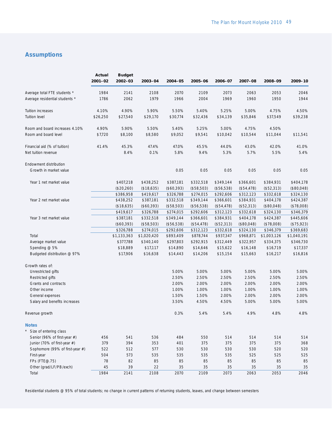## **Assumptions**

|                                                  | Actual<br>$2001 - 02$ | <b>Budget</b><br>2002-03 | 2003-04                 | 2004-05                 | 2005-06                 | 2006-07                                                                                                                                                                                                                                                                                                                                                                                                                        | 2007-08    | 2008-09                                                                                                                                                                                                                                                                                                                                                                   | 2009-10                 |
|--------------------------------------------------|-----------------------|--------------------------|-------------------------|-------------------------|-------------------------|--------------------------------------------------------------------------------------------------------------------------------------------------------------------------------------------------------------------------------------------------------------------------------------------------------------------------------------------------------------------------------------------------------------------------------|------------|---------------------------------------------------------------------------------------------------------------------------------------------------------------------------------------------------------------------------------------------------------------------------------------------------------------------------------------------------------------------------|-------------------------|
| Average total FTE students *                     | 1984                  | 2141                     | 2108                    | 2070                    | 2109                    | 2073                                                                                                                                                                                                                                                                                                                                                                                                                           | 2063       | 2053                                                                                                                                                                                                                                                                                                                                                                      | 2046                    |
| Average residential students *                   | 1786                  | 2062                     | 1979                    | 1966                    | 2004                    | 1969                                                                                                                                                                                                                                                                                                                                                                                                                           | 1960       | 1950                                                                                                                                                                                                                                                                                                                                                                      | 1944                    |
| Tuition increases                                | 4.10%                 | 4.90%                    | 5.90%                   | 5.50%                   | 5.40%                   | 5.25%                                                                                                                                                                                                                                                                                                                                                                                                                          | 5.00%      | 4.75%                                                                                                                                                                                                                                                                                                                                                                     | 4.50%                   |
| <b>Tuition level</b>                             | \$26,250              | \$27,540                 | \$29,170                | \$30,774                | \$32,436                | \$34,139                                                                                                                                                                                                                                                                                                                                                                                                                       | \$35,846   | \$37,549                                                                                                                                                                                                                                                                                                                                                                  | \$39,238                |
| Room and board increases 4.10%                   | 4.90%                 | 5.90%                    | 5.50%                   | 5.40%                   | 5.25%                   | 5.00%                                                                                                                                                                                                                                                                                                                                                                                                                          | 4.75%      | 4.50%                                                                                                                                                                                                                                                                                                                                                                     |                         |
| Room and board level                             | \$7,720               | \$8,100                  | \$8,580                 | \$9,052                 | \$9,541                 | \$10,042                                                                                                                                                                                                                                                                                                                                                                                                                       | \$10,544   | \$11,044                                                                                                                                                                                                                                                                                                                                                                  | \$11,541                |
| Financial aid (% of tuition)                     | 41.4%                 | 45.3%                    | 47.4%                   | 47.0%                   | 45.5%                   | 44.0%                                                                                                                                                                                                                                                                                                                                                                                                                          | 43.0%      | 42.0%                                                                                                                                                                                                                                                                                                                                                                     | 41.0%                   |
| Net tuition revenue                              |                       | 8.4%                     | 0.1%                    | 5.8%                    | 9.4%                    | 5.3%                                                                                                                                                                                                                                                                                                                                                                                                                           | 5.7%       | 5.5%                                                                                                                                                                                                                                                                                                                                                                      | 5.4%                    |
| Endowment distribution<br>Growth in market value |                       |                          |                         | 0.05                    | 0.05                    | 0.05                                                                                                                                                                                                                                                                                                                                                                                                                           | 0.05       | 0.05                                                                                                                                                                                                                                                                                                                                                                      | 0.05                    |
| Year 1 net market value                          |                       | \$407,218                | \$438,252               | \$387,181               | \$332,518               |                                                                                                                                                                                                                                                                                                                                                                                                                                |            |                                                                                                                                                                                                                                                                                                                                                                           | \$404,178               |
|                                                  |                       | (\$20,260)               | (\$18,635)              | (\$60,393)              | (\$58,503)              | (\$56,538)                                                                                                                                                                                                                                                                                                                                                                                                                     | (\$54,478) | (\$52,313)                                                                                                                                                                                                                                                                                                                                                                | (\$80,048)              |
|                                                  |                       | \$386,958                | \$419,617               | \$326,788               | \$274,015               | \$292,606                                                                                                                                                                                                                                                                                                                                                                                                                      | \$312,123  | \$332,618                                                                                                                                                                                                                                                                                                                                                                 | \$324,130               |
| Year 2 net market value                          |                       | \$438,252                | \$387,181               | \$332,518               | \$349,144               | \$366,601                                                                                                                                                                                                                                                                                                                                                                                                                      | \$384,931  | \$384,931<br>\$404,178<br>(\$80,048)<br>\$324,130<br>\$424,387<br>(\$78,008)<br>\$346,379<br>\$1,003,126<br>\$334,375<br>\$16,719<br>\$16,217<br>5.00%<br>5.00%<br>2.50%<br>2.50%<br>2.00%<br>2.00%<br>1.00%<br>1.00%<br>2.00%<br>2.00%<br>5.00%<br>5.00%<br>4.9%<br>4.8%<br>514<br>514<br>375<br>375<br>530<br>520<br>525<br>525<br>85<br>85<br>35<br>35<br>2063<br>2053 | \$424,387               |
|                                                  |                       | (\$18,635)               | (\$60,393)              | (\$58,503)              | (\$56,538)              |                                                                                                                                                                                                                                                                                                                                                                                                                                |            |                                                                                                                                                                                                                                                                                                                                                                           | (\$78,008)              |
|                                                  |                       | \$419,617                | \$326,788               | \$274,015               | \$292,606               |                                                                                                                                                                                                                                                                                                                                                                                                                                |            |                                                                                                                                                                                                                                                                                                                                                                           | \$346,379               |
| Year 3 net market value                          |                       | \$387,181                | \$332,518               | \$349,144               | \$366,601               | \$349,144<br>\$366,601<br>(\$54,478)<br>(\$52,313)<br>\$312,123<br>\$332,618<br>\$384,931<br>\$404,178<br>(\$52,313)<br>(\$80,048)<br>\$332,618<br>\$324,130<br>\$937,347<br>\$968,871<br>\$312,449<br>\$322,957<br>\$15,622<br>\$16,148<br>\$15,154<br>\$15,663<br>5.00%<br>2.50%<br>2.00%<br>1.00%<br>2.00%<br>4.50%<br>5.4%<br>550<br>514<br>375<br>375<br>530<br>530<br>535<br>535<br>85<br>85<br>35<br>35<br>2109<br>2073 | \$445,606  |                                                                                                                                                                                                                                                                                                                                                                           |                         |
|                                                  |                       | (\$60,393)<br>\$326,788  | (\$58,503)<br>\$274,015 | (\$56,538)<br>\$292,606 | (\$54,478)<br>\$312,123 |                                                                                                                                                                                                                                                                                                                                                                                                                                |            |                                                                                                                                                                                                                                                                                                                                                                           | (\$75,923)<br>\$369,683 |
| Total                                            |                       | \$1,133,363              | \$1,020,420             | \$893,409               | \$878,744               |                                                                                                                                                                                                                                                                                                                                                                                                                                |            |                                                                                                                                                                                                                                                                                                                                                                           | \$1,040,191             |
| Average market value                             |                       | \$377,788                | \$340,140               | \$297,803               | \$292,915               |                                                                                                                                                                                                                                                                                                                                                                                                                                |            |                                                                                                                                                                                                                                                                                                                                                                           | \$346,730               |
| Spending $@$ 5%                                  |                       | \$18,889                 | \$17,117                | \$14,890                | \$14,646                |                                                                                                                                                                                                                                                                                                                                                                                                                                |            |                                                                                                                                                                                                                                                                                                                                                                           | \$17,337                |
| Budgeted distribution @ 97%                      |                       | \$17,906                 | \$16,638                | \$14,443                | \$14,206                |                                                                                                                                                                                                                                                                                                                                                                                                                                |            |                                                                                                                                                                                                                                                                                                                                                                           | \$16,816                |
| Growth rates of:                                 |                       |                          |                         |                         |                         |                                                                                                                                                                                                                                                                                                                                                                                                                                |            |                                                                                                                                                                                                                                                                                                                                                                           |                         |
| Unrestricted gifts                               |                       |                          |                         | 5.00%                   | 5.00%                   |                                                                                                                                                                                                                                                                                                                                                                                                                                |            |                                                                                                                                                                                                                                                                                                                                                                           | 5.00%                   |
| Restricted gifts                                 |                       |                          |                         | 2.50%                   | 2.50%                   |                                                                                                                                                                                                                                                                                                                                                                                                                                |            |                                                                                                                                                                                                                                                                                                                                                                           | 2.50%                   |
| Grants and contracts                             |                       |                          |                         | 2.00%                   | 2.00%                   |                                                                                                                                                                                                                                                                                                                                                                                                                                |            |                                                                                                                                                                                                                                                                                                                                                                           | 2.00%                   |
| Other income                                     |                       |                          |                         | 1.00%                   | 1.00%                   |                                                                                                                                                                                                                                                                                                                                                                                                                                |            |                                                                                                                                                                                                                                                                                                                                                                           | 1.00%                   |
| General expenses                                 |                       |                          |                         | 1.50%                   | 1.50%                   |                                                                                                                                                                                                                                                                                                                                                                                                                                |            |                                                                                                                                                                                                                                                                                                                                                                           | 2.00%                   |
| Salary and benefits increases                    |                       |                          |                         | 3.50%                   | 4.50%                   |                                                                                                                                                                                                                                                                                                                                                                                                                                |            |                                                                                                                                                                                                                                                                                                                                                                           | 5.00%                   |
| Revenue growth                                   |                       |                          |                         | 0.3%                    | 5.4%                    |                                                                                                                                                                                                                                                                                                                                                                                                                                |            |                                                                                                                                                                                                                                                                                                                                                                           | 4.8%                    |
| <b>Notes</b>                                     |                       |                          |                         |                         |                         |                                                                                                                                                                                                                                                                                                                                                                                                                                |            |                                                                                                                                                                                                                                                                                                                                                                           |                         |
| Size of entering class                           |                       |                          |                         |                         |                         |                                                                                                                                                                                                                                                                                                                                                                                                                                |            |                                                                                                                                                                                                                                                                                                                                                                           |                         |
| Senior (96% of first-year #)                     | 456                   | 541                      | 536                     | 484                     |                         |                                                                                                                                                                                                                                                                                                                                                                                                                                |            |                                                                                                                                                                                                                                                                                                                                                                           | 514                     |
| Junior (70% of first-year #)                     | 379                   | 394                      | 353                     | 401                     |                         |                                                                                                                                                                                                                                                                                                                                                                                                                                |            |                                                                                                                                                                                                                                                                                                                                                                           | 368                     |
| Sophomore (99% of first-year #)                  | 522                   | 512                      | 577                     | 530                     |                         |                                                                                                                                                                                                                                                                                                                                                                                                                                |            |                                                                                                                                                                                                                                                                                                                                                                           | 520                     |
| First-year                                       | 504                   | 573                      | 535                     | 535                     |                         |                                                                                                                                                                                                                                                                                                                                                                                                                                |            |                                                                                                                                                                                                                                                                                                                                                                           | 525                     |
| FPs (FTE@.75)                                    | 78                    | 82                       | 85                      | 85                      |                         |                                                                                                                                                                                                                                                                                                                                                                                                                                |            |                                                                                                                                                                                                                                                                                                                                                                           | 85                      |
| Other (grad/LF/PB/exch)                          | 45                    | 39                       | 22                      | 35                      |                         |                                                                                                                                                                                                                                                                                                                                                                                                                                |            |                                                                                                                                                                                                                                                                                                                                                                           | 35                      |
| Total                                            | 1984                  | 2141                     | 2108                    | 2070                    |                         |                                                                                                                                                                                                                                                                                                                                                                                                                                |            |                                                                                                                                                                                                                                                                                                                                                                           | 2046                    |

Residential students @ 95% of total students; no change in current patterns of returning students, leaves, and change between semesters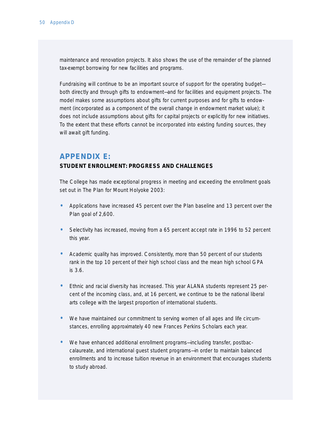maintenance and renovation projects. It also shows the use of the remainder of the planned tax-exempt borrowing for new facilities and programs.

Fundraising will continue to be an important source of support for the operating budget both directly and through gifts to endowment—and for facilities and equipment projects. The model makes some assumptions about gifts for current purposes and for gifts to endowment (incorporated as a component of the overall change in endowment market value); it does not include assumptions about gifts for capital projects or explicitly for new initiatives. To the extent that these efforts cannot be incorporated into existing funding sources, they will await gift funding.

## **APPENDIX E:**

#### **STUDENT ENROLLMENT: PROGRESS AND CHALLENGES**

The College has made exceptional progress in meeting and exceeding the enrollment goals set out in *The Plan for Mount Holyoke 2003*:

- Applications have increased 45 percent over the *Plan* baseline and 13 percent over the *Plan* goal of 2,600.
- Selectivity has increased, moving from a 65 percent accept rate in 1996 to 52 percent this year.
- Academic quality has improved. Consistently, more than 50 percent of our students rank in the top 10 percent of their high school class and the mean high school GPA is 3.6.
- Ethnic and racial diversity has increased. This year ALANA students represent 25 percent of the incoming class, and, at 16 percent, we continue to be the national liberal arts college with the largest proportion of international students.
- We have maintained our commitment to serving women of all ages and life circumstances, enrolling approximately 40 new Frances Perkins Scholars each year.
- We have enhanced additional enrollment programs—including transfer, postbaccalaureate, and international guest student programs—in order to maintain balanced enrollments and to increase tuition revenue in an environment that encourages students to study abroad.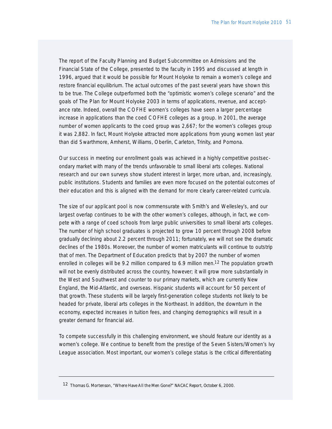The report of the Faculty Planning and Budget Subcommittee on Admissions and the Financial State of the College, presented to the faculty in 1995 and discussed at length in 1996, argued that it would be possible for Mount Holyoke to remain a women's college and restore financial equilibrium. The actual outcomes of the past several years have shown this to be true. The College outperformed both the "optimistic women's college scenario" and the goals of *The Plan for Mount Holyoke 2003* in terms of applications, revenue, and acceptance rate. Indeed, overall the COFHE women's colleges have seen a larger percentage increase in applications than the coed COFHE colleges as a group. In 2001, the average number of women applicants to the coed group was 2,667; for the women's colleges group it was 2,882. In fact, Mount Holyoke attracted more applications from young women last year than did Swarthmore, Amherst, Williams, Oberlin, Carleton, Trinity, and Pomona.

Our success in meeting our enrollment goals was achieved in a highly competitive postsecondary market with many of the trends unfavorable to small liberal arts colleges. National research and our own surveys show student interest in larger, more urban, and, increasingly, public institutions. Students and families are even more focused on the potential outcomes of their education and this is aligned with the demand for more clearly career-related curricula.

The size of our applicant pool is now commensurate with Smith's and Wellesley's, and our largest overlap continues to be with the other women's colleges, although, in fact, we compete with a range of coed schools from large public universities to small liberal arts colleges. The number of high school graduates is projected to grow 10 percent through 2008 before gradually declining about 2.2 percent through 2011; fortunately, we will not see the dramatic declines of the 1980s. Moreover, the number of women matriculants will continue to outstrip that of men. The Department of Education predicts that by 2007 the number of women enrolled in colleges will be 9.2 million compared to 6.9 million men.<sup>12</sup> The population growth will not be evenly distributed across the country, however; it will grow more substantially in the West and Southwest and counter to our primary markets, which are currently New England, the Mid-Atlantic, and overseas. Hispanic students will account for 50 percent of that growth. These students will be largely first-generation college students not likely to be headed for private, liberal arts colleges in the Northeast. In addition, the downturn in the economy, expected increases in tuition fees, and changing demographics will result in a greater demand for financial aid.

To compete successfully in this challenging environment, we should feature our identity as a women's college. We continue to benefit from the prestige of the Seven Sisters/Women's Ivy League association. Most important, our women's college status is the critical differentiating

<sup>12</sup> Thomas G. Mortenson, "Where Have All the Men Gone?" NACAC Report, October 6, 2000.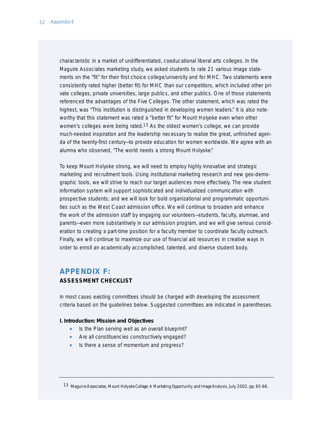characteristic in a market of undifferentiated, coeducational liberal arts colleges. In the Maguire Associates marketing study, we asked students to rate 21 various image statements on the "fit" for their first choice college/university and for MHC. Two statements were consistently rated higher (better fit) for MHC than our competitors, which included other private colleges, private universities, large publics, and other publics. One of those statements referenced the advantages of the Five Colleges. The other statement, which was rated the highest, was "This institution is distinguished in developing women leaders." It is also noteworthy that this statement was rated a "better fit" for Mount Holyoke even when other women's colleges were being rated.<sup>13</sup> As the oldest women's college, we can provide much-needed inspiration and the leadership necessary to realize the great, unfinished agenda of the twenty-first century—to provide education for women worldwide. We agree with an alumna who observed, "The world needs a strong Mount Holyoke."

To keep Mount Holyoke strong, we will need to employ highly innovative and strategic marketing and recruitment tools. Using institutional marketing research and new geo-demographic tools, we will strive to reach our target audiences more effectively. The new student information system will support sophisticated and individualized communication with prospective students; and we will look for bold organizational and programmatic opportunities such as the West Coast admission office. We will continue to broaden and enhance the work of the admission staff by engaging our volunteers—students, faculty, alumnae, and parents—even more substantively in our admission program, and we will give serious consideration to creating a part-time position for a faculty member to coordinate faculty outreach. Finally, we will continue to maximize our use of financial aid resources in creative ways in order to enroll an academically accomplished, talented, and diverse student body.

## **APPENDIX F:**

### **ASSESSMENT CHECKLIST**

In most cases existing committees should be charged with developing the assessment criteria based on the guidelines below. Suggested committees are indicated in parentheses.

#### **I. Introduction: Mission and Objectives**

- Is the *Plan* serving well as an overall blueprint?
- Are all constituencies constructively engaged?
- Is there a sense of momentum and progress?

13 Maguire Associates, *Mount Holyoke College: A Marketing Opportunity and Image Analysis,* July 2002, pp. 65-66.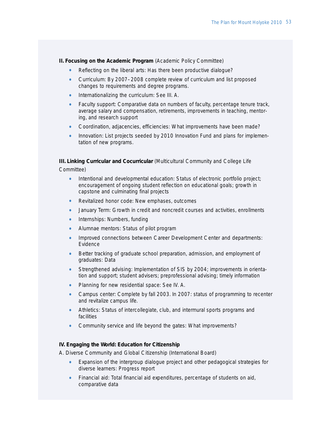**II. Focusing on the Academic Program** (Academic Policy Committee)

- *Reflecting on the liberal arts:* Has there been productive dialogue?
- *Curriculum:* By 2007–2008 complete review of curriculum and list proposed changes to requirements and degree programs.
- *Internationalizing the curriculum:* See III. A.
- *Faculty support:* Comparative data on numbers of faculty, percentage tenure track, average salary and compensation, retirements, improvements in teaching, mentoring, and research support
- *Coordination, adjacencies, efficiencies:* What improvements have been made?
- Innovation: List projects seeded by 2010 Innovation Fund and plans for implementation of new programs.

**III. Linking Curricular and Cocurricular** (Multicultural Community and College Life Committee)

- *Intentional and developmental education:* Status of electronic portfolio project; encouragement of ongoing student reflection on educational goals; growth in capstone and culminating final projects
- *Revitalized honor code:* New emphases, outcomes
- *January Term:* Growth in credit and noncredit courses and activities, enrollments
- *Internships:* Numbers, funding
- *Alumnae mentors:* Status of pilot program
- *Improved connections between Career Development Center and departments:* Evidence
- *Better tracking of graduate school preparation, admission, and employment of graduates:* Data
- *Strengthened advising:* Implementation of SIS by 2004; improvements in orientation and support; student advisers; preprofessional advising; timely information
- *Planning for new residential space:* See IV. A.
- *Campus center:* Complete by fall 2003. In 2007: status of programming to recenter and revitalize campus life.
- *Athletics:* Status of intercollegiate, club, and intermural sports programs and facilities
- *Community service and life beyond the gates:* What improvements?

#### **IV. Engaging the World: Education for Citizenship**

*A. Diverse Community and Global Citizenship* (International Board)

- *Expansion of the intergroup dialogue project and other pedagogical strategies for diverse learners:* Progress report
- *Financial aid:* Total financial aid expenditures, percentage of students on aid, comparative data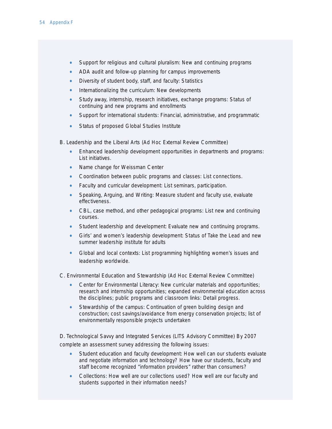- *Support for religious and cultural pluralism:* New and continuing programs
- *ADA audit and follow-up planning for campus improvements*
- *Diversity of student body, staff, and faculty:* Statistics
- *Internationalizing the curriculum:* New developments
- *Study away, internship, research initiatives, exchange programs:* Status of continuing and new programs and enrollments
- *Support for international students:* Financial, administrative, and programmatic
- *Status of proposed Global Studies Institute*

*B. Leadership and the Liberal Arts* (Ad Hoc External Review Committee)

- *Enhanced leadership development opportunities in departments and programs:* List initiatives.
- *Name change for Weissman Center*
- *Coordination between public programs and classes:* List connections.
- *Faculty and curricular development:* List seminars, participation.
- *Speaking, Arguing, and Writing:* Measure student and faculty use, evaluate effectiveness.
- *CBL, case method, and other pedagogical programs:* List new and continuing courses.
- *Student leadership and development:* Evaluate new and continuing programs.
- *Girls' and women's leadership development:* Status of Take the Lead and new summer leadership institute for adults
- *Global and local contexts:* List programming highlighting women's issues and leadership worldwide.
- *C. Environmental Education and Stewardship* (Ad Hoc External Review Committee)
	- *Center for Environmental Literacy:* New curricular materials and opportunities; research and internship opportunities; expanded environmental education across the disciplines; public programs and classroom links: Detail progress.
	- *Stewardship of the campus:* Continuation of green building design and construction; cost savings/avoidance from energy conservation projects; list of environmentally responsible projects undertaken

*D. Technological Savvy and Integrated Services* (LITS Advisory Committee) By 2007 complete an assessment survey addressing the following issues:

- *Student education and faculty development:* How well can our students evaluate and negotiate information and technology? How have our students, faculty and staff become recognized "information providers" rather than consumers?
- *Collections:* How well are our collections used? How well are our faculty and students supported in their information needs?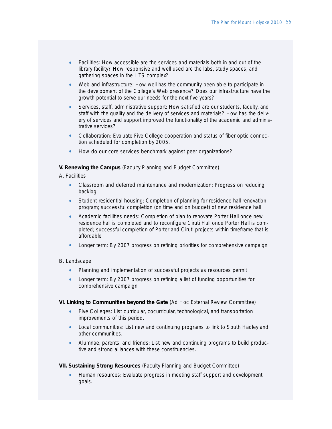- *Facilities:* How accessible are the services and materials both in and out of the library facility? How responsive and well used are the labs, study spaces, and gathering spaces in the LITS complex?
- *Web and infrastructure:* How well has the community been able to participate in the development of the College's Web presence? Does our infrastructure have the growth potential to serve our needs for the next five years?
- *Services, staff, administrative support:* How satisfied are our students, faculty, and staff with the quality and the delivery of services and materials? How has the delivery of services and support improved the functionality of the academic and administrative services?
- *Collaboration:* Evaluate Five College cooperation and status of fiber optic connection scheduled for completion by 2005.
- *How do our core services benchmark against peer organizations?*

### **V. Renewing the Campus** (Faculty Planning and Budget Committee)

#### *A. Facilities*

- *Classroom and deferred maintenance and modernization:* Progress on reducing backlog
- *Student residential housing:* Completion of planning for residence hall renovation program; successful completion (on time and on budget) of new residence hall
- *Academic facilities needs:* Completion of plan to renovate Porter Hall once new residence hall is completed and to reconfigure Ciruti Hall once Porter Hall is completed; successful completion of Porter and Ciruti projects within timeframe that is affordable
- *Longer term:* By 2007 progress on refining priorities for comprehensive campaign

### *B. Landscape*

- *Planning and implementation of successful projects as resources permit*
- *Longer term:* By 2007 progress on refining a list of funding opportunities for comprehensive campaign

#### **VI. Linking to Communities beyond the Gate** (Ad Hoc External Review Committee)

- *Five Colleges:* List curricular, cocurricular, technological, and transportation improvements of this period.
- *Local communities:* List new and continuing programs to link to South Hadley and other communities.
- *Alumnae, parents, and friends:* List new and continuing programs to build productive and strong alliances with these constituencies.

#### **VII. Sustaining Strong Resources** (Faculty Planning and Budget Committee)

• *Human resources:* Evaluate progress in meeting staff support and development goals.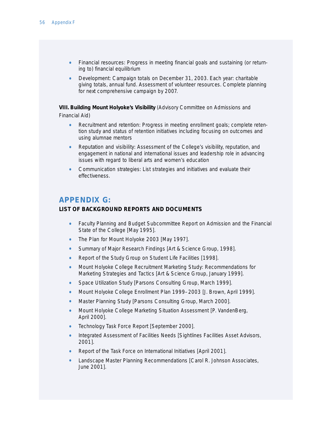- *Financial resources:* Progress in meeting financial goals and sustaining (or returning to) financial equilibrium
- *Development:* Campaign totals on December 31, 2003. Each year: charitable giving totals, annual fund. Assessment of volunteer resources. Complete planning for next comprehensive campaign by 2007.

**VIII. Building Mount Holyoke's Visibility** (Advisory Committee on Admissions and Financial Aid)

- *Recruitment and retention:* Progress in meeting enrollment goals; complete retention study and status of retention initiatives including focusing on outcomes and using alumnae mentors
- *Reputation and visibility:* Assessment of the College's visibility, reputation, and engagement in national and international issues and leadership role in advancing issues with regard to liberal arts and women's education
- *Communication strategies:* List strategies and initiatives and evaluate their effectiveness.

## **APPENDIX G:**

### **LIST OF BACKGROUND REPORTS AND DOCUMENTS**

- Faculty Planning and Budget Subcommittee Report on Admission and the Financial State of the College [May 1995].
- *The Plan for Mount Holyoke 2003* [May 1997].
- Summary of Major Research Findings [Art & Science Group, 1998].
- Report of the Study Group on Student Life Facilities [1998].
- Mount Holyoke College Recruitment Marketing Study: Recommendations for Marketing Strategies and Tactics [Art & Science Group, January 1999].
- Space Utilization Study [Parsons Consulting Group, March 1999].
- Mount Holyoke College Enrollment Plan 1999–2003 [J. Brown, April 1999].
- Master Planning Study [Parsons Consulting Group, March 2000].
- Mount Holyoke College Marketing Situation Assessment [P. VandenBerg, April 2000].
- Technology Task Force Report [September 2000].
- Integrated Assessment of Facilities Needs [Sightlines Facilities Asset Advisors, 2001].
- Report of the Task Force on International Initiatives [April 2001].
- Landscape Master Planning Recommendations [Carol R. Johnson Associates, June 2001].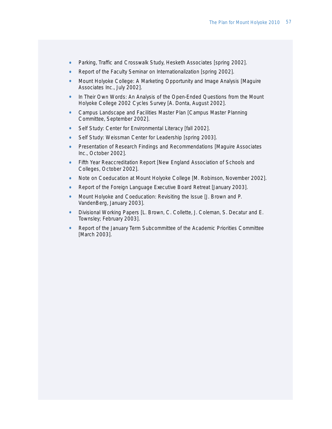- Parking, Traffic and Crosswalk Study, Hesketh Associates [spring 2002].
- Report of the Faculty Seminar on Internationalization [spring 2002].
- Mount Holyoke College: A Marketing Opportunity and Image Analysis [Maguire] Associates Inc., July 2002].
- In Their Own Words: An Analysis of the Open-Ended Questions from the Mount Holyoke College 2002 Cycles Survey [A. Donta, August 2002].
- Campus Landscape and Facilities Master Plan [Campus Master Planning Committee, September 2002].
- Self Study: Center for Environmental Literacy [fall 2002].
- Self Study: Weissman Center for Leadership [spring 2003].
- Presentation of Research Findings and Recommendations [Maguire Associates Inc., October 2002].
- Fifth Year Reaccreditation Report [New England Association of Schools and Colleges, October 2002].
- Note on Coeducation at Mount Holyoke College [M. Robinson, November 2002].
- Report of the Foreign Language Executive Board Retreat [January 2003].
- Mount Holyoke and Coeducation: Revisiting the Issue [J. Brown and P. VandenBerg, January 2003].
- Divisional Working Papers [L. Brown, C. Collette, J. Coleman, S. Decatur and E. Townsley; February 2003].
- Report of the January Term Subcommittee of the Academic Priorities Committee [March 2003].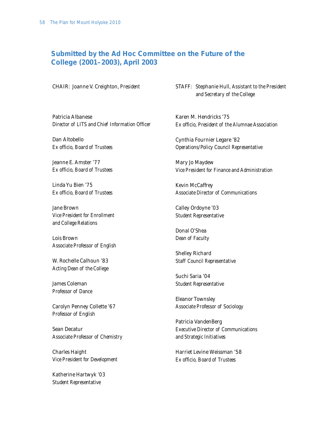## **Submitted by the Ad Hoc Committee on the Future of the College (2001–2003), April 2003**

CHAIR: Joanne V. Creighton, *President*

STAFF: Stephanie Hull, *Assistant to the President and Secretary of the College*

Patricia Albanese *Director of LITS and Chief Information Officer* 

Dan Altobello *Ex officio, Board of Trustees*

Jeanne E. Amster '77 *Ex officio, Board of Trustees*

Linda Yu Bien '75 *Ex officio, Board of Trustees*

Jane Brown *Vice President for Enrollment and College Relations*

Lois Brown *Associate Professor of English*

W. Rochelle Calhoun '83 *Acting Dean of the College*

James Coleman *Professor of Dance*

Carolyn Penney Collette '67 *Professor of English*

Sean Decatur *Associate Professor of Chemistry*

Charles Haight *Vice President for Development*

Katherine Hartwyk '03 *Student Representative*

Karen M. Hendricks '75 *Ex officio, President of the Alumnae Association*

Cynthia Fournier Legare '82 *Operations/Policy Council Representative* 

Mary Jo Maydew *Vice President for Finance and Administration*

Kevin McCaffrey *Associate Director of Communications*

Calley Ordoyne '03 *Student Representative*

Donal O'Shea *Dean of Faculty*

Shelley Richard *Staff Council Representative*

Suchi Saria '04 *Student Representative*

Eleanor Townsley *Associate Professor of Sociology*

Patricia VandenBerg *Executive Director of Communications and Strategic Initiatives* 

Harriet Levine Weissman '58 *Ex officio, Board of Trustees*